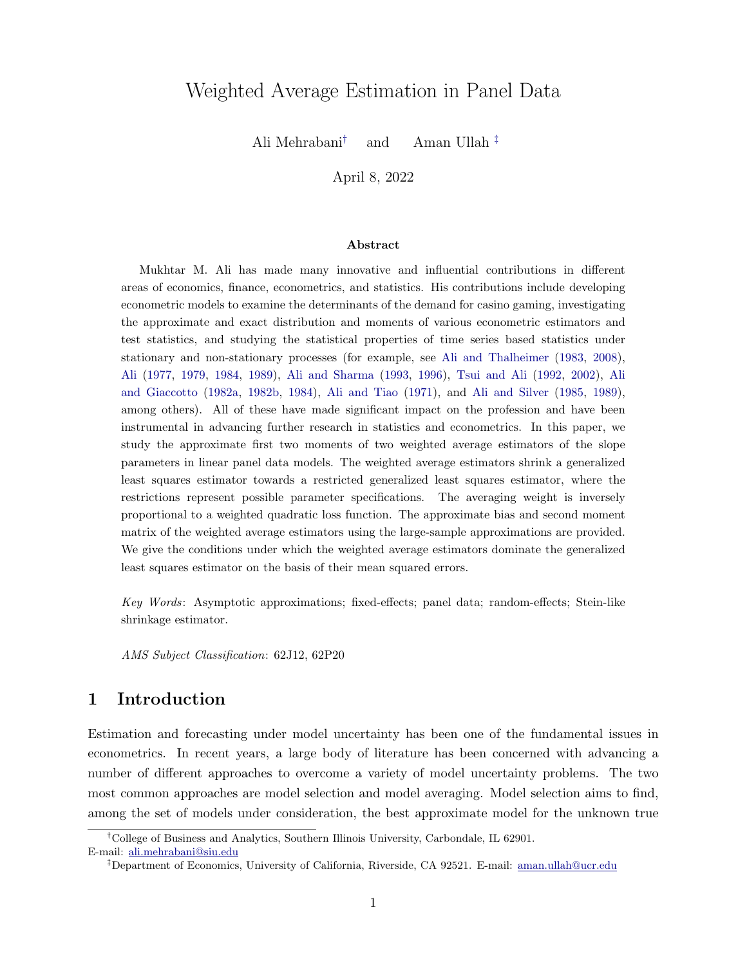# Weighted Average Estimation in Panel Data

Ali Mehrabani† and Aman Ullah ‡

April 8, 2022

#### Abstract

Mukhtar M. Ali has made many innovative and influential contributions in different areas of economics, finance, econometrics, and statistics. His contributions include developing econometric models to examine the determinants of the demand for casino gaming, investigating the approximate and exact distribution and moments of various econometric estimators and test statistics, and studying the statistical properties of time series based statistics under stationary and non-stationary processes (for example, see [Ali and Thalheimer](#page-16-0) [\(1983,](#page-16-0) [2008\)](#page-17-0), [Ali](#page-16-1) [\(1977,](#page-16-1) [1979,](#page-16-2) [1984,](#page-16-3) [1989\)](#page-16-4), [Ali and Sharma](#page-16-5) [\(1993,](#page-16-5) [1996\)](#page-16-6), [Tsui and Ali](#page-18-0) [\(1992,](#page-18-0) [2002\)](#page-18-1), [Ali](#page-16-7) [and Giaccotto](#page-16-7) [\(1982a,](#page-16-7) [1982b,](#page-16-8) [1984\)](#page-16-9), [Ali and Tiao](#page-16-10) [\(1971\)](#page-16-10), and [Ali and Silver](#page-16-11) [\(1985,](#page-16-11) [1989\)](#page-16-12), among others). All of these have made significant impact on the profession and have been instrumental in advancing further research in statistics and econometrics. In this paper, we study the approximate first two moments of two weighted average estimators of the slope parameters in linear panel data models. The weighted average estimators shrink a generalized least squares estimator towards a restricted generalized least squares estimator, where the restrictions represent possible parameter specifications. The averaging weight is inversely proportional to a weighted quadratic loss function. The approximate bias and second moment matrix of the weighted average estimators using the large-sample approximations are provided. We give the conditions under which the weighted average estimators dominate the generalized least squares estimator on the basis of their mean squared errors.

Key Words: Asymptotic approximations; fixed-effects; panel data; random-effects; Stein-like shrinkage estimator.

AMS Subject Classification: 62J12, 62P20

### 1 Introduction

Estimation and forecasting under model uncertainty has been one of the fundamental issues in econometrics. In recent years, a large body of literature has been concerned with advancing a number of different approaches to overcome a variety of model uncertainty problems. The two most common approaches are model selection and model averaging. Model selection aims to find, among the set of models under consideration, the best approximate model for the unknown true

<sup>†</sup>College of Business and Analytics, Southern Illinois University, Carbondale, IL 62901. E-mail: [ali.mehrabani@siu.edu](mailto:ali.mehrabani@siu.edu )

<sup>‡</sup>Department of Economics, University of California, Riverside, CA 92521. E-mail: [aman.ullah@ucr.edu](mailto:aman.ullah@ucr.edu )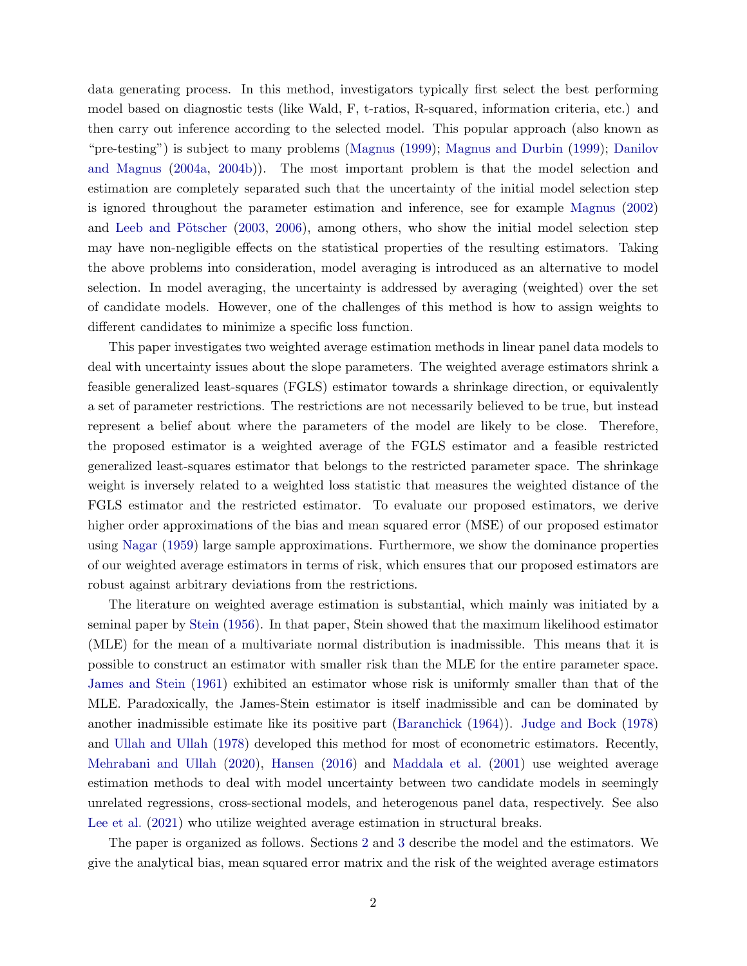data generating process. In this method, investigators typically first select the best performing model based on diagnostic tests (like Wald, F, t-ratios, R-squared, information criteria, etc.) and then carry out inference according to the selected model. This popular approach (also known as "pre-testing") is subject to many problems [\(Magnus](#page-17-1) [\(1999\)](#page-17-1); [Magnus and Durbin](#page-17-2) [\(1999\)](#page-17-2); [Danilov](#page-17-3) [and Magnus](#page-17-3) [\(2004a,](#page-17-3) [2004b\)](#page-17-4)). The most important problem is that the model selection and estimation are completely separated such that the uncertainty of the initial model selection step is ignored throughout the parameter estimation and inference, see for example [Magnus](#page-17-5) [\(2002\)](#page-17-5) and Leeb and Pötscher [\(2003,](#page-17-6) [2006\)](#page-17-7), among others, who show the initial model selection step may have non-negligible effects on the statistical properties of the resulting estimators. Taking the above problems into consideration, model averaging is introduced as an alternative to model selection. In model averaging, the uncertainty is addressed by averaging (weighted) over the set of candidate models. However, one of the challenges of this method is how to assign weights to different candidates to minimize a specific loss function.

This paper investigates two weighted average estimation methods in linear panel data models to deal with uncertainty issues about the slope parameters. The weighted average estimators shrink a feasible generalized least-squares (FGLS) estimator towards a shrinkage direction, or equivalently a set of parameter restrictions. The restrictions are not necessarily believed to be true, but instead represent a belief about where the parameters of the model are likely to be close. Therefore, the proposed estimator is a weighted average of the FGLS estimator and a feasible restricted generalized least-squares estimator that belongs to the restricted parameter space. The shrinkage weight is inversely related to a weighted loss statistic that measures the weighted distance of the FGLS estimator and the restricted estimator. To evaluate our proposed estimators, we derive higher order approximations of the bias and mean squared error (MSE) of our proposed estimator using [Nagar](#page-17-8) [\(1959\)](#page-17-8) large sample approximations. Furthermore, we show the dominance properties of our weighted average estimators in terms of risk, which ensures that our proposed estimators are robust against arbitrary deviations from the restrictions.

The literature on weighted average estimation is substantial, which mainly was initiated by a seminal paper by [Stein](#page-18-2) [\(1956\)](#page-18-2). In that paper, Stein showed that the maximum likelihood estimator (MLE) for the mean of a multivariate normal distribution is inadmissible. This means that it is possible to construct an estimator with smaller risk than the MLE for the entire parameter space. [James and Stein](#page-17-9) [\(1961\)](#page-17-9) exhibited an estimator whose risk is uniformly smaller than that of the MLE. Paradoxically, the James-Stein estimator is itself inadmissible and can be dominated by another inadmissible estimate like its positive part [\(Baranchick](#page-17-10) [\(1964\)](#page-17-10)). [Judge and Bock](#page-17-11) [\(1978\)](#page-17-11) and [Ullah and Ullah](#page-18-3) [\(1978\)](#page-18-3) developed this method for most of econometric estimators. Recently, [Mehrabani and Ullah](#page-17-12) [\(2020\)](#page-17-12), [Hansen](#page-17-13) [\(2016\)](#page-17-13) and [Maddala et al.](#page-17-14) [\(2001\)](#page-17-14) use weighted average estimation methods to deal with model uncertainty between two candidate models in seemingly unrelated regressions, cross-sectional models, and heterogenous panel data, respectively. See also [Lee et al.](#page-17-15) [\(2021\)](#page-17-15) who utilize weighted average estimation in structural breaks.

The paper is organized as follows. Sections [2](#page-2-0) and [3](#page-3-0) describe the model and the estimators. We give the analytical bias, mean squared error matrix and the risk of the weighted average estimators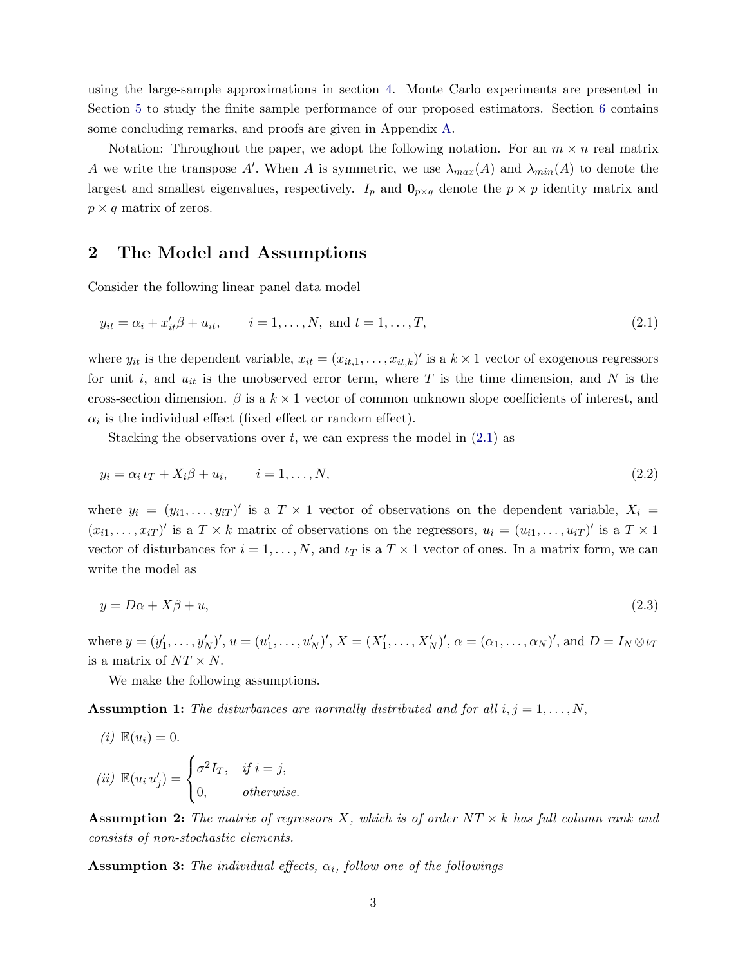using the large-sample approximations in section [4.](#page-7-0) Monte Carlo experiments are presented in Section [5](#page-11-0) to study the finite sample performance of our proposed estimators. Section [6](#page-15-0) contains some concluding remarks, and proofs are given in Appendix [A.](#page-19-0)

Notation: Throughout the paper, we adopt the following notation. For an  $m \times n$  real matrix A we write the transpose A'. When A is symmetric, we use  $\lambda_{max}(A)$  and  $\lambda_{min}(A)$  to denote the largest and smallest eigenvalues, respectively.  $I_p$  and  $\mathbf{0}_{p \times q}$  denote the  $p \times p$  identity matrix and  $p \times q$  matrix of zeros.

### <span id="page-2-0"></span>2 The Model and Assumptions

Consider the following linear panel data model

<span id="page-2-1"></span>
$$
y_{it} = \alpha_i + x'_{it}\beta + u_{it}, \qquad i = 1, ..., N, \text{ and } t = 1, ..., T,
$$
 (2.1)

where  $y_{it}$  is the dependent variable,  $x_{it} = (x_{it,1}, \ldots, x_{it,k})'$  is a  $k \times 1$  vector of exogenous regressors for unit i, and  $u_{it}$  is the unobserved error term, where T is the time dimension, and N is the cross-section dimension.  $\beta$  is a  $k \times 1$  vector of common unknown slope coefficients of interest, and  $\alpha_i$  is the individual effect (fixed effect or random effect).

Stacking the observations over t, we can express the model in  $(2.1)$  as

$$
y_i = \alpha_i \iota_T + X_i \beta + u_i, \qquad i = 1, \dots, N,
$$
\n
$$
(2.2)
$$

where  $y_i = (y_{i1}, \ldots, y_{iT})'$  is a  $T \times 1$  vector of observations on the dependent variable,  $X_i =$  $(x_{i1},...,x_{iT})'$  is a  $T \times k$  matrix of observations on the regressors,  $u_i = (u_{i1},...,u_{iT})'$  is a  $T \times 1$ vector of disturbances for  $i = 1, ..., N$ , and  $\iota_T$  is a  $T \times 1$  vector of ones. In a matrix form, we can write the model as

$$
y = D\alpha + X\beta + u,\tag{2.3}
$$

where  $y = (y'_1, \ldots, y'_N)'$ ,  $u = (u'_1, \ldots, u'_N)'$ ,  $X = (X'_1, \ldots, X'_N)'$ ,  $\alpha = (\alpha_1, \ldots, \alpha_N)'$ , and  $D = I_N \otimes \iota_T$ is a matrix of  $NT \times N$ .

We make the following assumptions.

<span id="page-2-2"></span>**Assumption 1:** The disturbances are normally distributed and for all  $i, j = 1, \ldots, N$ ,

(i) 
$$
\mathbb{E}(u_i) = 0.
$$
  
\n(ii)  $\mathbb{E}(u_i u'_j) = \begin{cases} \sigma^2 I_T, & \text{if } i = j, \\ 0, & \text{otherwise.} \end{cases}$ 

<span id="page-2-4"></span>**Assumption 2:** The matrix of regressors X, which is of order  $NT \times k$  has full column rank and consists of non-stochastic elements.

<span id="page-2-3"></span>**Assumption 3:** The individual effects,  $\alpha_i$ , follow one of the followings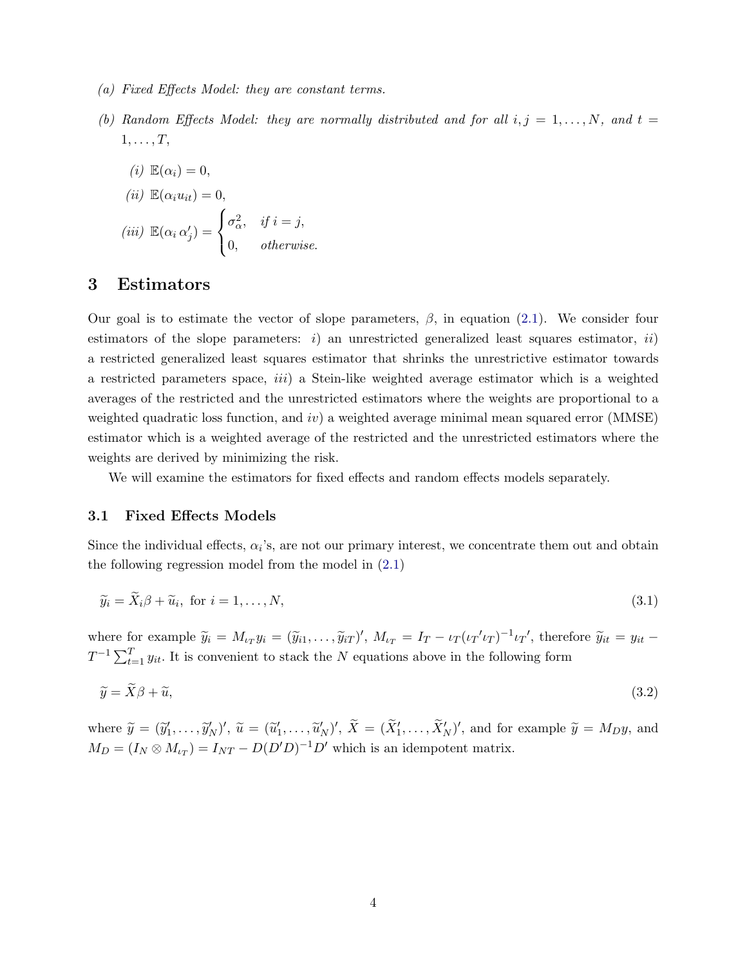- (a) Fixed Effects Model: they are constant terms.
- (b) Random Effects Model: they are normally distributed and for all  $i, j = 1, \ldots, N$ , and  $t =$  $1, \ldots, T$ ,

(i) 
$$
\mathbb{E}(\alpha_i) = 0
$$
,  
\n(ii)  $\mathbb{E}(\alpha_i u_{it}) = 0$ ,  
\n(iii)  $\mathbb{E}(\alpha_i \alpha'_j) = \begin{cases} \sigma_\alpha^2, & \text{if } i = j, \\ 0, & \text{otherwise.} \end{cases}$ 

### <span id="page-3-0"></span>3 Estimators

Our goal is to estimate the vector of slope parameters,  $\beta$ , in equation [\(2.1\)](#page-2-1). We consider four estimators of the slope parameters:  $i)$  an unrestricted generalized least squares estimator,  $ii)$ a restricted generalized least squares estimator that shrinks the unrestrictive estimator towards a restricted parameters space, *iii*) a Stein-like weighted average estimator which is a weighted averages of the restricted and the unrestricted estimators where the weights are proportional to a weighted quadratic loss function, and iv) a weighted average minimal mean squared error (MMSE) estimator which is a weighted average of the restricted and the unrestricted estimators where the weights are derived by minimizing the risk.

We will examine the estimators for fixed effects and random effects models separately.

#### 3.1 Fixed Effects Models

Since the individual effects,  $\alpha_i$ 's, are not our primary interest, we concentrate them out and obtain the following regression model from the model in (2.[1\)](#page-2-1)

$$
\widetilde{y}_i = \widetilde{X}_i \beta + \widetilde{u}_i, \text{ for } i = 1, \dots, N,
$$
\n(3.1)

where for example  $\widetilde{y}_i = M_{\iota_T} y_i = (\widetilde{y}_{i1}, \ldots, \widetilde{y}_{iT})'$ ,  $M_{\iota_T} = I_T - \iota_T (\iota_T' \iota_T)^{-1} \iota_T'$ , therefore  $\widetilde{y}_{it} = y_{it} - T$  $T^{-1} \sum_{t=1}^{T} y_{it}$ . It is convenient to stack the N equations above in the following form

$$
\widetilde{y} = \widetilde{X}\beta + \widetilde{u},\tag{3.2}
$$

where  $\widetilde{y} = (\widetilde{y}'_1, \ldots, \widetilde{y}'_N)'$ ,  $\widetilde{u} = (\widetilde{u}'_1, \ldots, \widetilde{u}'_N)'$ ,  $\widetilde{X} = (\widetilde{X}'_1, \ldots, \widetilde{X}'_N)'$ , and for example  $\widetilde{y} = M_D y$ , and  $M_D = (I_N \otimes M_{\iota_T}) = I_{NT} - D(D'D)^{-1}D'$  which is an idempotent matrix.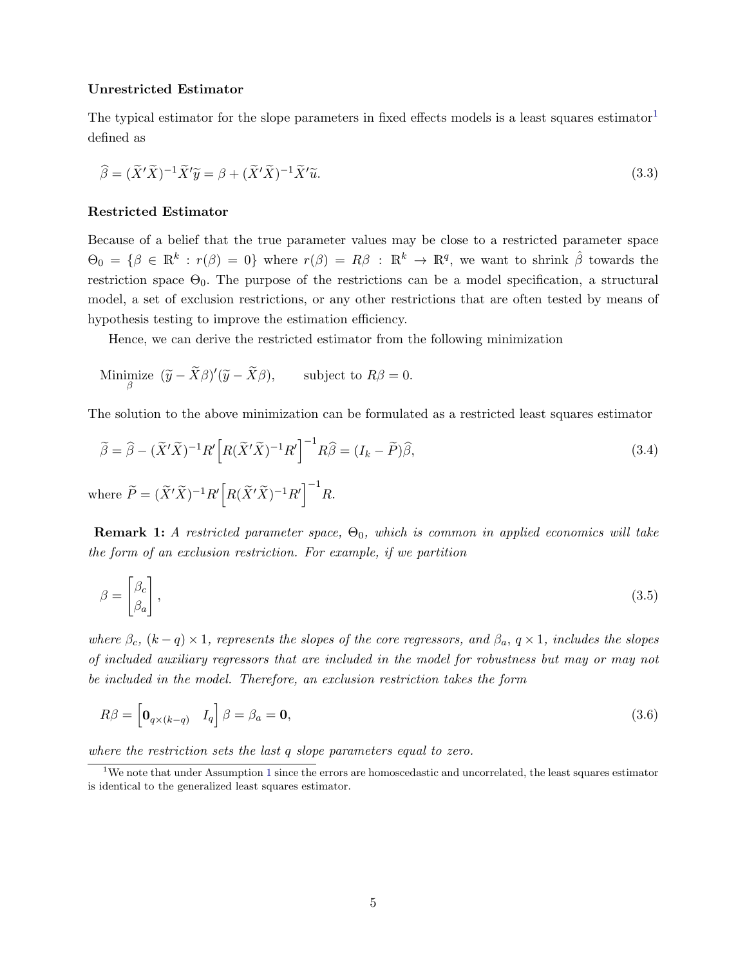#### Unrestricted Estimator

<span id="page-4-2"></span>The typical estimator for the slope parameters in fixed effects models is a least squares estimator<sup>[1](#page-4-0)</sup> defined as

$$
\widehat{\beta} = (\widetilde{X}'\widetilde{X})^{-1}\widetilde{X}'\widetilde{y} = \beta + (\widetilde{X}'\widetilde{X})^{-1}\widetilde{X}'\widetilde{u}.
$$
\n(3.3)

#### Restricted Estimator

Because of a belief that the true parameter values may be close to a restricted parameter space  $\Theta_0 = \{\beta \in \mathbb{R}^k : r(\beta) = 0\}$  where  $r(\beta) = R\beta : \mathbb{R}^k \to \mathbb{R}^q$ , we want to shrink  $\hat{\beta}$  towards the restriction space  $\Theta_0$ . The purpose of the restrictions can be a model specification, a structural model, a set of exclusion restrictions, or any other restrictions that are often tested by means of hypothesis testing to improve the estimation efficiency.

Hence, we can derive the restricted estimator from the following minimization

Minimize  $(\widetilde{y} - \widetilde{X}\beta)'(\widetilde{y} - \widetilde{X}\beta)$ , subject to  $R\beta = 0$ .

The solution to the above minimization can be formulated as a restricted least squares estimator

$$
\widetilde{\beta} = \widehat{\beta} - (\widetilde{X}'\widetilde{X})^{-1}R'\Big[R(\widetilde{X}'\widetilde{X})^{-1}R'\Big]^{-1}R\widehat{\beta} = (I_k - \widetilde{P})\widehat{\beta},
$$
\n(3.4)  
\nwhere  $\widetilde{P} = (\widetilde{X}'\widetilde{X})^{-1}R'\Big[R(\widetilde{X}'\widetilde{X})^{-1}R'\Big]^{-1}R.$ 

<span id="page-4-1"></span>**Remark 1:** A restricted parameter space,  $\Theta_0$ , which is common in applied economics will take the form of an exclusion restriction. For example, if we partition

$$
\beta = \begin{bmatrix} \beta_c \\ \beta_a \end{bmatrix},\tag{3.5}
$$

where  $\beta_c$ ,  $(k-q) \times 1$ , represents the slopes of the core regressors, and  $\beta_a$ ,  $q \times 1$ , includes the slopes of included auxiliary regressors that are included in the model for robustness but may or may not be included in the model. Therefore, an exclusion restriction takes the form

$$
R\beta = \begin{bmatrix} \mathbf{0}_{q \times (k-q)} & I_q \end{bmatrix} \beta = \beta_a = \mathbf{0},\tag{3.6}
$$

where the restriction sets the last q slope parameters equal to zero.

<span id="page-4-0"></span><sup>&</sup>lt;sup>[1](#page-2-2)</sup>We note that under Assumption 1 since the errors are homoscedastic and uncorrelated, the least squares estimator is identical to the generalized least squares estimator.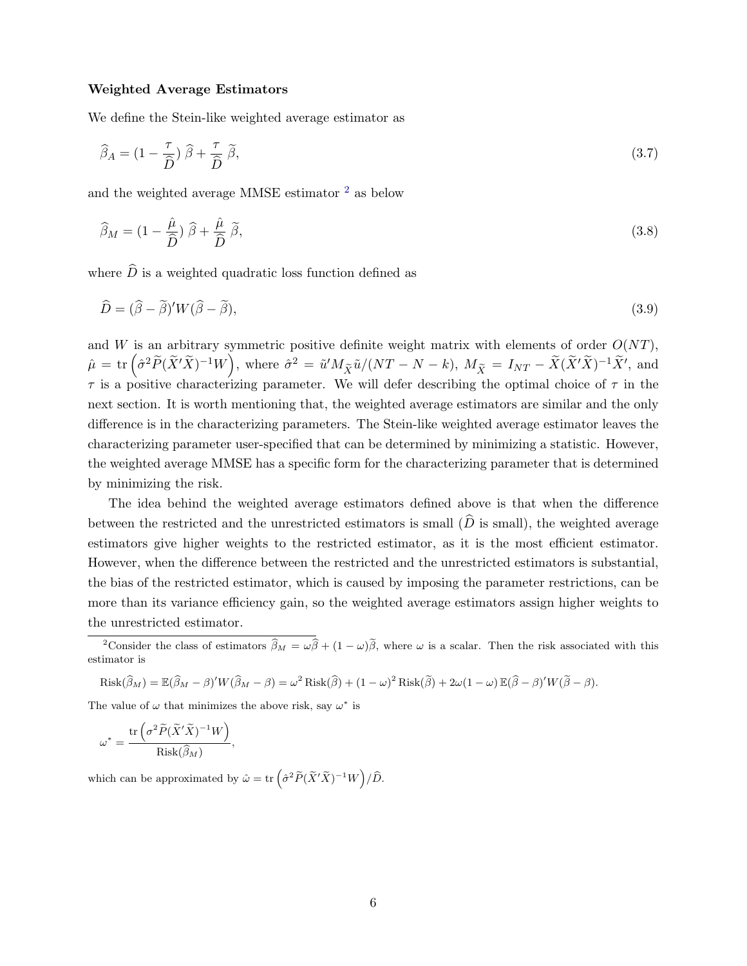#### Weighted Average Estimators

We define the Stein-like weighted average estimator as

<span id="page-5-2"></span>
$$
\widehat{\beta}_A = \left(1 - \frac{\tau}{\widehat{D}}\right)\widehat{\beta} + \frac{\tau}{\widehat{D}}\widetilde{\beta},\tag{3.7}
$$

and the weighted average MMSE estimator [2](#page-5-0) as below

<span id="page-5-3"></span><span id="page-5-1"></span>
$$
\widehat{\beta}_M = \left(1 - \frac{\widehat{\mu}}{\widehat{D}}\right)\widehat{\beta} + \frac{\widehat{\mu}}{\widehat{D}}\widetilde{\beta},\tag{3.8}
$$

where  $\widehat{D}$  is a weighted quadratic loss function defined as

$$
\widehat{D} = (\widehat{\beta} - \widetilde{\beta})' W (\widehat{\beta} - \widetilde{\beta}), \tag{3.9}
$$

and W is an arbitrary symmetric positive definite weight matrix with elements of order  $O(NT)$ ,  $\hat{\mu} = \text{tr} \left( \hat{\sigma}^2 \widetilde{P} (\widetilde{X}' \widetilde{X})^{-1} W \right), \text{ where } \hat{\sigma}^2 = \tilde{u}' M_{\widetilde{X}} \tilde{u} / (NT - N - k), M_{\widetilde{X}} = I_{NT} - \widetilde{X} (\widetilde{X}' \widetilde{X})^{-1} \widetilde{X}', \text{ and}$  $\tau$  is a positive characterizing parameter. We will defer describing the optimal choice of  $\tau$  in the next section. It is worth mentioning that, the weighted average estimators are similar and the only difference is in the characterizing parameters. The Stein-like weighted average estimator leaves the characterizing parameter user-specified that can be determined by minimizing a statistic. However, the weighted average MMSE has a specific form for the characterizing parameter that is determined by minimizing the risk.

The idea behind the weighted average estimators defined above is that when the difference between the restricted and the unrestricted estimators is small  $(\widehat{D})$  is small), the weighted average estimators give higher weights to the restricted estimator, as it is the most efficient estimator. However, when the difference between the restricted and the unrestricted estimators is substantial, the bias of the restricted estimator, which is caused by imposing the parameter restrictions, can be more than its variance efficiency gain, so the weighted average estimators assign higher weights to the unrestricted estimator.

<span id="page-5-0"></span><sup>2</sup>Consider the class of estimators  $\widehat{\beta}_M = \omega \widehat{\beta} + (1 - \omega) \widetilde{\beta}$ , where  $\omega$  is a scalar. Then the risk associated with this estimator is

$$
Risk(\widehat{\beta}_M) = \mathbb{E}(\widehat{\beta}_M - \beta)'W(\widehat{\beta}_M - \beta) = \omega^2 Risk(\widehat{\beta}) + (1 - \omega)^2 Risk(\widetilde{\beta}) + 2\omega(1 - \omega) \mathbb{E}(\widehat{\beta} - \beta)'W(\widetilde{\beta} - \beta).
$$

The value of  $\omega$  that minimizes the above risk, say  $\omega^*$  is

$$
\omega^* = \frac{\text{tr}\left(\sigma^2 \widetilde{P}(\widetilde{X}'\widetilde{X})^{-1}W\right)}{\text{Risk}(\widehat{\beta}_M)},
$$

which can be approximated by  $\hat{\omega} = \text{tr} \left( \hat{\sigma}^2 \tilde{P} (\tilde{X}' \tilde{X})^{-1} W \right) / \hat{D}$ .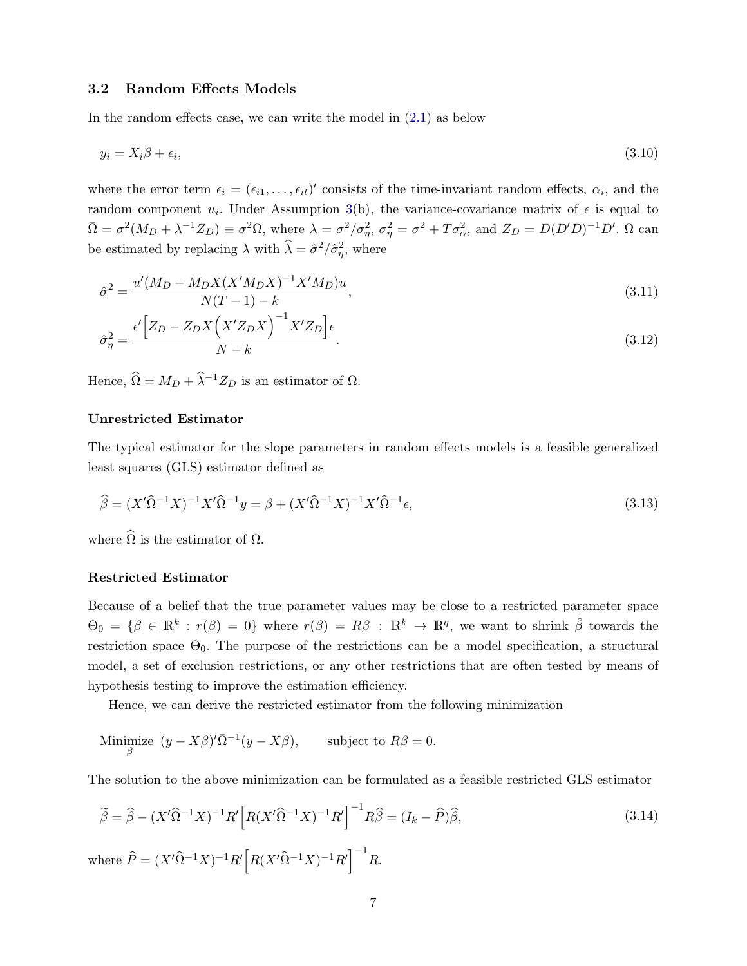#### 3.2 Random Effects Models

In the random effects case, we can write the model in [\(2.1\)](#page-2-1) as below

$$
y_i = X_i \beta + \epsilon_i,\tag{3.10}
$$

where the error term  $\epsilon_i = (\epsilon_{i1}, \ldots, \epsilon_{it})'$  consists of the time-invariant random effects,  $\alpha_i$ , and the random component  $u_i$ . Under Assumption [3\(](#page-2-3)b), the variance-covariance matrix of  $\epsilon$  is equal to  $\overline{\Omega} = \sigma^2(M_D + \lambda^{-1}Z_D) \equiv \sigma^2\Omega$ , where  $\lambda = \sigma^2/\sigma_{\eta}^2$ ,  $\sigma_{\eta}^2 = \sigma^2 + T\sigma_{\alpha}^2$ , and  $Z_D = D(D'D)^{-1}D'$ .  $\Omega$  can be estimated by replacing  $\lambda$  with  $\hat{\lambda} = \hat{\sigma}^2/\hat{\sigma}_{\eta}^2$ , where

$$
\hat{\sigma}^2 = \frac{u'(M_D - M_D X (X'M_D X)^{-1} X'M_D) u}{N(T-1) - k},
$$
\n
$$
\epsilon' \Big[ Z_D - Z_D X \Big( X' Z_D X \Big)^{-1} X' Z_D \Big] \epsilon
$$
\n(3.11)

$$
\hat{\sigma}_{\eta}^2 = \frac{\epsilon \left[2D - 2D\Lambda \left(\Lambda \ Z D\Lambda\right) - \Lambda \ Z D\right] \epsilon}{N - k}.
$$
\n(3.12)

Hence,  $\widehat{\Omega} = M_D + \widehat{\lambda}^{-1}Z_D$  is an estimator of  $\Omega.$ 

#### Unrestricted Estimator

The typical estimator for the slope parameters in random effects models is a feasible generalized least squares (GLS) estimator defined as

<span id="page-6-0"></span>
$$
\widehat{\beta} = (X'\widehat{\Omega}^{-1}X)^{-1}X'\widehat{\Omega}^{-1}y = \beta + (X'\widehat{\Omega}^{-1}X)^{-1}X'\widehat{\Omega}^{-1}\epsilon,
$$
\n(3.13)

where  $\widehat{\Omega}$  is the estimator of  $\Omega$ .

#### Restricted Estimator

Because of a belief that the true parameter values may be close to a restricted parameter space  $\Theta_0 = \{\beta \in \mathbb{R}^k : r(\beta) = 0\}$  where  $r(\beta) = R\beta : \mathbb{R}^k \to \mathbb{R}^q$ , we want to shrink  $\hat{\beta}$  towards the restriction space  $\Theta_0$ . The purpose of the restrictions can be a model specification, a structural model, a set of exclusion restrictions, or any other restrictions that are often tested by means of hypothesis testing to improve the estimation efficiency.

Hence, we can derive the restricted estimator from the following minimization

Minimize 
$$
(y - X\beta)'\overline{\Omega}^{-1}(y - X\beta)
$$
, subject to  $R\beta = 0$ .

The solution to the above minimization can be formulated as a feasible restricted GLS estimator

$$
\widetilde{\beta} = \widehat{\beta} - (X'\widehat{\Omega}^{-1}X)^{-1}R'\Big[R(X'\widehat{\Omega}^{-1}X)^{-1}R'\Big]^{-1}R\widehat{\beta} = (I_k - \widehat{P})\widehat{\beta},\tag{3.14}
$$

where  $\widehat{P} = (X'\widehat{\Omega}^{-1}X)^{-1}R'\Big[R(X'\widehat{\Omega}^{-1}X)^{-1}R'\Big]^{-1}$ R.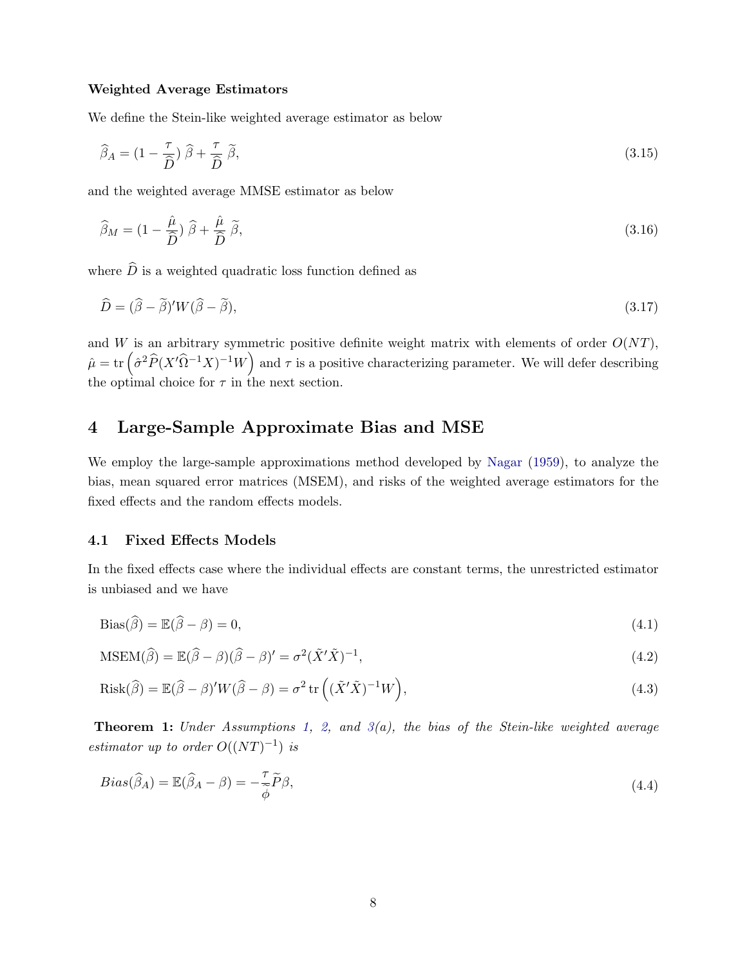#### Weighted Average Estimators

We define the Stein-like weighted average estimator as below

<span id="page-7-3"></span>
$$
\widehat{\beta}_A = \left(1 - \frac{\tau}{\widehat{D}}\right)\widehat{\beta} + \frac{\tau}{\widehat{D}}\widetilde{\beta},\tag{3.15}
$$

and the weighted average MMSE estimator as below

<span id="page-7-4"></span><span id="page-7-2"></span>
$$
\widehat{\beta}_M = \left(1 - \frac{\hat{\mu}}{\widehat{D}}\right)\widehat{\beta} + \frac{\hat{\mu}}{\widehat{D}}\widetilde{\beta},\tag{3.16}
$$

where  $\hat{D}$  is a weighted quadratic loss function defined as

$$
\widehat{D} = (\widehat{\beta} - \widetilde{\beta})' W (\widehat{\beta} - \widetilde{\beta}), \tag{3.17}
$$

and W is an arbitrary symmetric positive definite weight matrix with elements of order  $O(NT)$ ,  $\hat{\mu} = \text{tr}\left(\hat{\sigma}^2 \hat{P}(X'\hat{\Omega}^{-1}X)^{-1}W\right)$  and  $\tau$  is a positive characterizing parameter. We will defer describing the optimal choice for  $\tau$  in the next section.

# <span id="page-7-0"></span>4 Large-Sample Approximate Bias and MSE

We employ the large-sample approximations method developed by [Nagar](#page-17-8) [\(1959\)](#page-17-8), to analyze the bias, mean squared error matrices (MSEM), and risks of the weighted average estimators for the fixed effects and the random effects models.

#### 4.1 Fixed Effects Models

In the fixed effects case where the individual effects are constant terms, the unrestricted estimator is unbiased and we have

$$
Bias(\widehat{\beta}) = \mathbb{E}(\widehat{\beta} - \beta) = 0,\tag{4.1}
$$

$$
\text{MSEM}(\hat{\beta}) = \mathbb{E}(\hat{\beta} - \beta)(\hat{\beta} - \beta)' = \sigma^2(\tilde{X}'\tilde{X})^{-1},\tag{4.2}
$$

$$
Risk(\hat{\beta}) = \mathbb{E}(\hat{\beta} - \beta)'W(\hat{\beta} - \beta) = \sigma^2 \operatorname{tr}\left((\tilde{X}'\tilde{X})^{-1}W\right),\tag{4.3}
$$

<span id="page-7-1"></span>**Theorem 1:** Under Assumptions [1,](#page-2-2) [2,](#page-2-4) and  $\beta(a)$ , the bias of the Stein-like weighted average estimator up to order  $O((NT)^{-1})$  is

$$
Bias(\widehat{\beta}_A) = \mathbb{E}(\widehat{\beta}_A - \beta) = -\frac{\tau}{\widetilde{\phi}} \widetilde{P}\beta,
$$
\n(4.4)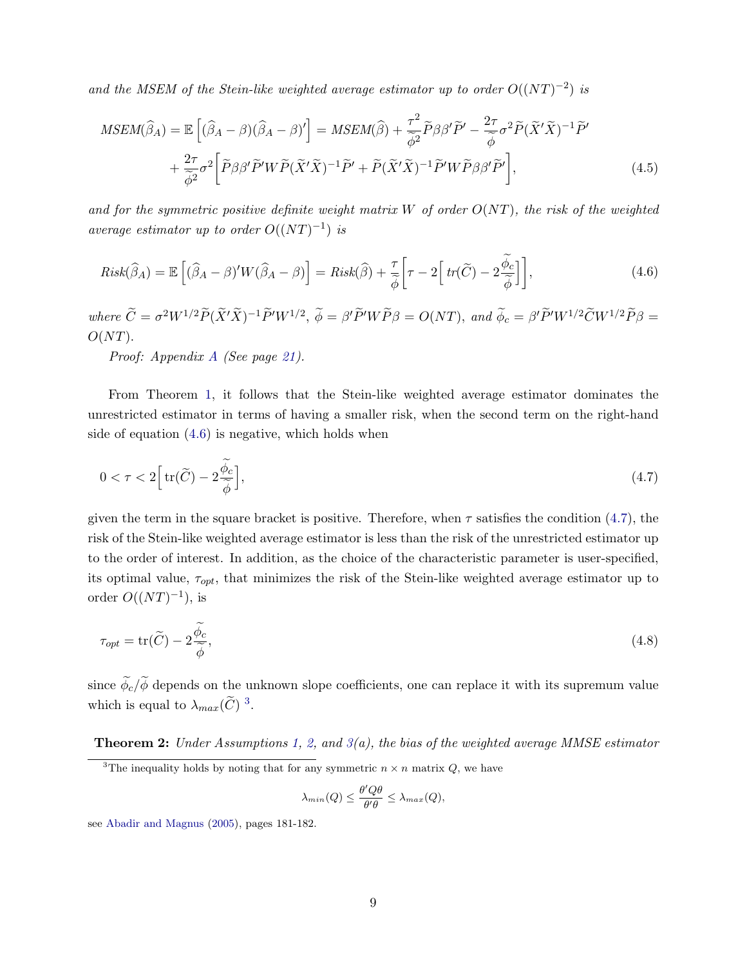and the MSEM of the Stein-like weighted average estimator up to order  $O((NT)^{-2})$  is

$$
MSEM(\widehat{\beta}_A) = \mathbb{E}\left[ (\widehat{\beta}_A - \beta)(\widehat{\beta}_A - \beta)'\right] = MSEM(\widehat{\beta}) + \frac{\tau^2}{\widetilde{\phi}^2} \widetilde{P}\beta\beta'\widetilde{P}' - \frac{2\tau}{\widetilde{\phi}} \sigma^2 \widetilde{P}(\widetilde{X}'\widetilde{X})^{-1}\widetilde{P}' + \frac{2\tau}{\widetilde{\phi}^2} \sigma^2 \left[ \widetilde{P}\beta\beta'\widetilde{P}'W\widetilde{P}(\widetilde{X}'\widetilde{X})^{-1}\widetilde{P}' + \widetilde{P}(\widetilde{X}'\widetilde{X})^{-1}\widetilde{P}'W\widetilde{P}\beta\beta'\widetilde{P}' \right],
$$
\n(4.5)

and for the symmetric positive definite weight matrix W of order  $O(NT)$ , the risk of the weighted average estimator up to order  $O((NT)^{-1})$  is

<span id="page-8-0"></span>
$$
Risk(\widehat{\beta}_A) = \mathbb{E}\left[ (\widehat{\beta}_A - \beta)'W(\widehat{\beta}_A - \beta) \right] = Risk(\widehat{\beta}) + \frac{\tau}{\widetilde{\phi}} \left[ \tau - 2\left[ \operatorname{tr}(\widetilde{C}) - 2\frac{\widetilde{\phi}_c}{\widetilde{\phi}} \right] \right],\tag{4.6}
$$

where  $\tilde{C} = \sigma^2 W^{1/2} \tilde{P} (\tilde{X}' \tilde{X})^{-1} \tilde{P}' W^{1/2}, \tilde{\phi} = \beta' \tilde{P}' W \tilde{P} \beta = O(NT), \text{ and } \tilde{\phi}_c = \beta' \tilde{P}' W^{1/2} \tilde{C} W^{1/2} \tilde{P} \beta =$  $O(NT)$ .

<span id="page-8-1"></span>Proof: Appendix [A](#page-19-0) (See page [21\)](#page-19-1).

From Theorem [1,](#page-7-1) it follows that the Stein-like weighted average estimator dominates the unrestricted estimator in terms of having a smaller risk, when the second term on the right-hand side of equation  $(4.6)$  is negative, which holds when

$$
0 < \tau < 2 \left[ \operatorname{tr}(\widetilde{C}) - 2 \frac{\widetilde{\phi}_c}{\widetilde{\phi}} \right],\tag{4.7}
$$

given the term in the square bracket is positive. Therefore, when  $\tau$  satisfies the condition [\(4.7\)](#page-8-1), the risk of the Stein-like weighted average estimator is less than the risk of the unrestricted estimator up to the order of interest. In addition, as the choice of the characteristic parameter is user-specified, its optimal value,  $\tau_{opt}$ , that minimizes the risk of the Stein-like weighted average estimator up to order  $O((NT)^{-1})$ , is

$$
\tau_{opt} = \text{tr}(\tilde{C}) - 2\frac{\phi_c}{\tilde{\phi}},\tag{4.8}
$$

since  $\tilde{\phi}_c/\tilde{\phi}$  depends on the unknown slope coefficients, one can replace it with its supremum value which is equal to  $\lambda_{max}(\widetilde{C})$ <sup>[3](#page-8-2)</sup>.

<span id="page-8-3"></span>**Theorem 2:** Under Assumptions [1,](#page-2-2) [2,](#page-2-4) and  $3(a)$  $3(a)$ , the bias of the weighted average MMSE estimator

$$
\lambda_{min}(Q) \le \frac{\theta' Q \theta}{\theta' \theta} \le \lambda_{max}(Q),
$$

see [Abadir and Magnus](#page-16-13) [\(2005\)](#page-16-13), pages 181-182.

<span id="page-8-2"></span><sup>&</sup>lt;sup>3</sup>The inequality holds by noting that for any symmetric  $n \times n$  matrix  $Q$ , we have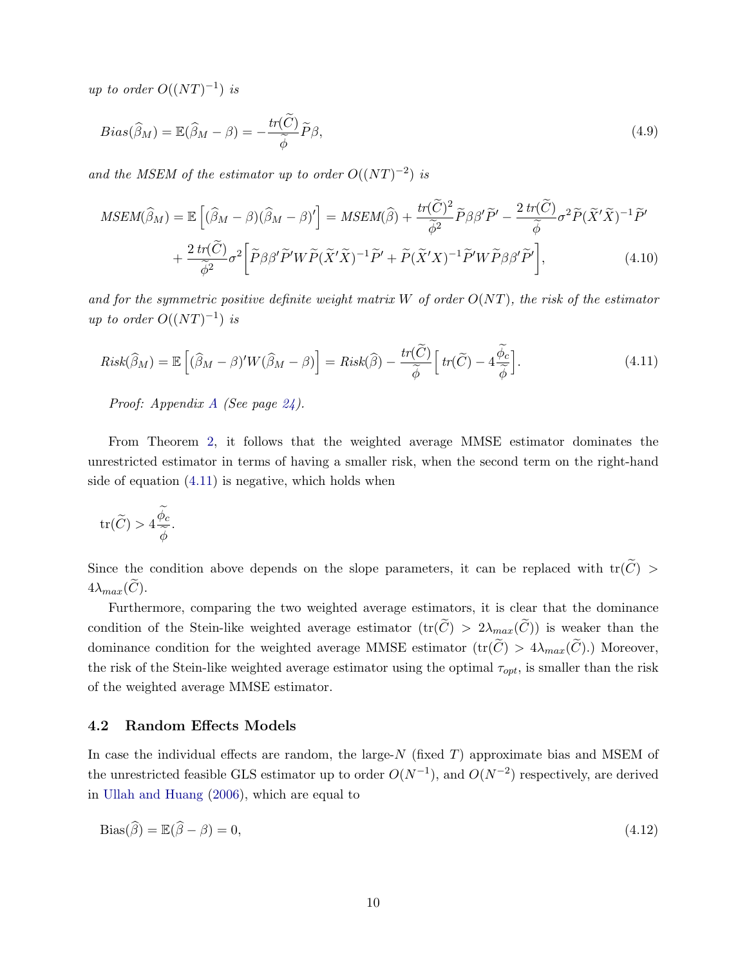up to order  $O((NT)^{-1})$  is

$$
Bias(\widehat{\beta}_M) = \mathbb{E}(\widehat{\beta}_M - \beta) = -\frac{tr(\widetilde{C})}{\widetilde{\phi}} \widetilde{P}\beta,
$$
\n(4.9)

and the MSEM of the estimator up to order  $O((NT)^{-2})$  is

$$
MSEM(\widehat{\beta}_M) = \mathbb{E}\left[ (\widehat{\beta}_M - \beta)(\widehat{\beta}_M - \beta)'\right] = MSEM(\widehat{\beta}) + \frac{tr(\widetilde{C})^2}{\widetilde{\phi}^2} \widetilde{P}\beta\beta'\widetilde{P}' - \frac{2\ tr(\widetilde{C})}{\widetilde{\phi}} \sigma^2 \widetilde{P}(\widetilde{X}'\widetilde{X})^{-1}\widetilde{P}' + \frac{2\ tr(\widetilde{C})}{\widetilde{\phi}^2} \sigma^2 \left[ \widetilde{P}\beta\beta'\widetilde{P}'W\widetilde{P}(\widetilde{X}'\widetilde{X})^{-1}\widetilde{P}' + \widetilde{P}(\widetilde{X}'X)^{-1}\widetilde{P}'W\widetilde{P}\beta\beta'\widetilde{P}' \right],
$$
(4.10)

and for the symmetric positive definite weight matrix W of order  $O(NT)$ , the risk of the estimator up to order  $O((NT)^{-1})$  is

<span id="page-9-0"></span>
$$
Risk(\widehat{\beta}_M) = \mathbb{E}\left[ (\widehat{\beta}_M - \beta)'W(\widehat{\beta}_M - \beta) \right] = Risk(\widehat{\beta}) - \frac{tr(\widetilde{C})}{\widetilde{\phi}} \left[ tr(\widetilde{C}) - 4\frac{\widetilde{\phi}_c}{\widetilde{\phi}} \right]. \tag{4.11}
$$

Proof: Appendix [A](#page-19-0) (See page [24\)](#page-23-0).

From Theorem [2,](#page-8-3) it follows that the weighted average MMSE estimator dominates the unrestricted estimator in terms of having a smaller risk, when the second term on the right-hand side of equation [\(4.11\)](#page-9-0) is negative, which holds when

$$
\operatorname{tr}(\widetilde{C}) > 4 \frac{\widetilde{\phi}_c}{\widetilde{\phi}}.
$$

Since the condition above depends on the slope parameters, it can be replaced with  $tr(\widetilde{C})$  $4\lambda_{max}(\hat{C})$ .

Furthermore, comparing the two weighted average estimators, it is clear that the dominance condition of the Stein-like weighted average estimator  $(tr(\tilde{C}) > 2\lambda_{max}(\tilde{C}))$  is weaker than the dominance condition for the weighted average MMSE estimator  $(tr(\tilde{C}) > 4\lambda_{max}(\tilde{C})$ .) Moreover, the risk of the Stein-like weighted average estimator using the optimal  $\tau_{opt}$ , is smaller than the risk of the weighted average MMSE estimator.

#### 4.2 Random Effects Models

In case the individual effects are random, the large- $N$  (fixed  $T$ ) approximate bias and MSEM of the unrestricted feasible GLS estimator up to order  $O(N^{-1})$ , and  $O(N^{-2})$  respectively, are derived in [Ullah and Huang](#page-18-4) [\(2006\)](#page-18-4), which are equal to

$$
\text{Bias}(\hat{\beta}) = \mathbb{E}(\hat{\beta} - \beta) = 0,\tag{4.12}
$$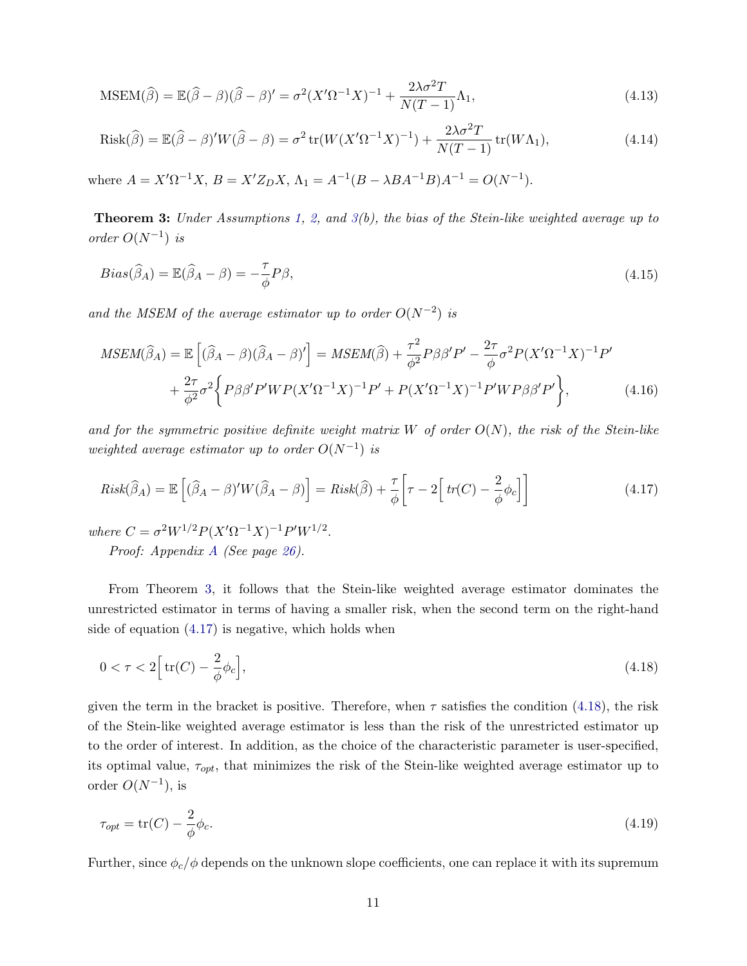$$
\text{MSEM}(\widehat{\beta}) = \mathbb{E}(\widehat{\beta} - \beta)(\widehat{\beta} - \beta)' = \sigma^2 (X'\Omega^{-1}X)^{-1} + \frac{2\lambda\sigma^2 T}{N(T-1)}\Lambda_1,\tag{4.13}
$$

$$
Risk(\widehat{\beta}) = \mathbb{E}(\widehat{\beta} - \beta)'W(\widehat{\beta} - \beta) = \sigma^2 tr(W(X'\Omega^{-1}X)^{-1}) + \frac{2\lambda\sigma^2 T}{N(T-1)} tr(W\Lambda_1),
$$
\n(4.14)

<span id="page-10-0"></span>where  $A = X'\Omega^{-1}X$ ,  $B = X'Z_DX$ ,  $\Lambda_1 = A^{-1}(B - \lambda BA^{-1}B)A^{-1} = O(N^{-1})$ .

**Theorem 3:** Under Assumptions [1,](#page-2-2) [2,](#page-2-4) and  $3(b)$  $3(b)$ , the bias of the Stein-like weighted average up to order  $O(N^{-1})$  is

$$
Bias(\widehat{\beta}_A) = \mathbb{E}(\widehat{\beta}_A - \beta) = -\frac{\tau}{\phi} P \beta,
$$
\n(4.15)

and the MSEM of the average estimator up to order  $O(N^{-2})$  is

$$
MSEM(\widehat{\beta}_A) = \mathbb{E}\left[ (\widehat{\beta}_A - \beta)(\widehat{\beta}_A - \beta)' \right] = MSEM(\widehat{\beta}) + \frac{\tau^2}{\phi^2} P\beta\beta'P' - \frac{2\tau}{\phi}\sigma^2 P(X'\Omega^{-1}X)^{-1}P' + \frac{2\tau}{\phi^2}\sigma^2 \left\{ P\beta\beta'P'WP(X'\Omega^{-1}X)^{-1}P' + P(X'\Omega^{-1}X)^{-1}P'WP\beta\beta'P' \right\},
$$
(4.16)

and for the symmetric positive definite weight matrix W of order  $O(N)$ , the risk of the Stein-like weighted average estimator up to order  $O(N^{-1})$  is

<span id="page-10-1"></span>
$$
Risk(\widehat{\beta}_A) = \mathbb{E}\left[ (\widehat{\beta}_A - \beta)'W(\widehat{\beta}_A - \beta) \right] = Risk(\widehat{\beta}) + \frac{\tau}{\phi} \left[ \tau - 2 \left[ tr(C) - \frac{2}{\phi} \phi_c \right] \right]
$$
(4.17)

where  $C = \sigma^2 W^{1/2} P (X' \Omega^{-1} X)^{-1} P' W^{1/2}$ .

<span id="page-10-2"></span>Proof: Appendix [A](#page-19-0) (See page [26\)](#page-25-0).

From Theorem [3,](#page-10-0) it follows that the Stein-like weighted average estimator dominates the unrestricted estimator in terms of having a smaller risk, when the second term on the right-hand side of equation [\(4.17\)](#page-10-1) is negative, which holds when

$$
0 < \tau < 2 \Big[ \operatorname{tr}(C) - \frac{2}{\phi} \phi_c \Big],\tag{4.18}
$$

given the term in the bracket is positive. Therefore, when  $\tau$  satisfies the condition [\(4.18\)](#page-10-2), the risk of the Stein-like weighted average estimator is less than the risk of the unrestricted estimator up to the order of interest. In addition, as the choice of the characteristic parameter is user-specified, its optimal value,  $\tau_{opt}$ , that minimizes the risk of the Stein-like weighted average estimator up to order  $O(N^{-1})$ , is

$$
\tau_{opt} = \text{tr}(C) - \frac{2}{\phi}\phi_c. \tag{4.19}
$$

Further, since  $\phi_c/\phi$  depends on the unknown slope coefficients, one can replace it with its supremum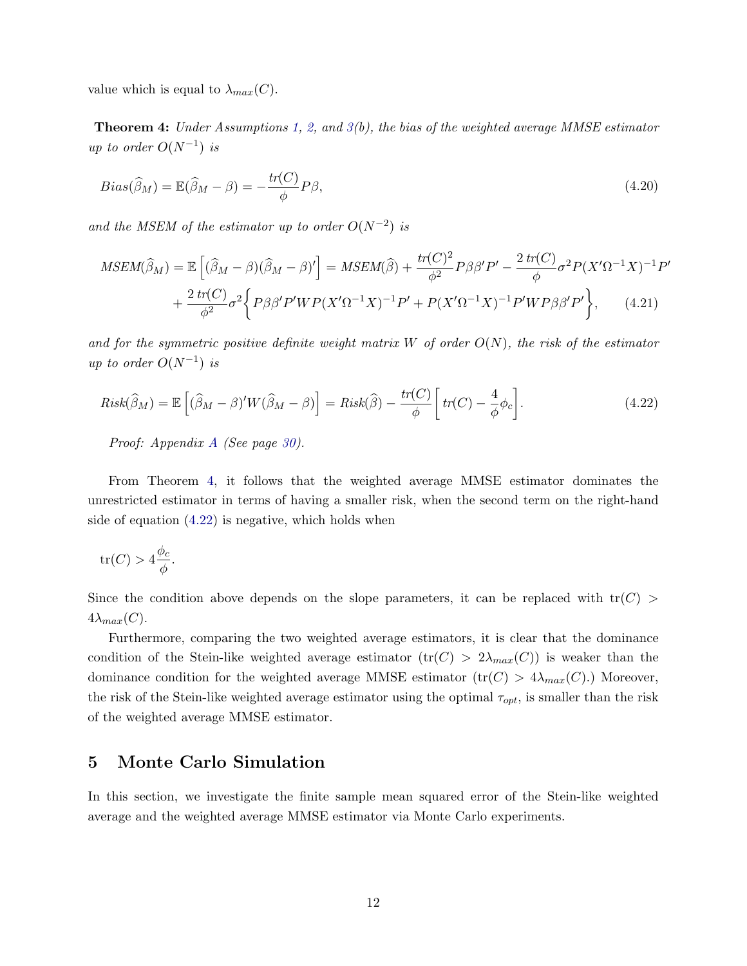<span id="page-11-1"></span>value which is equal to  $\lambda_{max}(C)$ .

**Theorem 4:** Under Assumptions [1,](#page-2-2) [2,](#page-2-4) and  $3(b)$  $3(b)$ , the bias of the weighted average MMSE estimator up to order  $O(N^{-1})$  is

$$
Bias(\widehat{\beta}_M) = \mathbb{E}(\widehat{\beta}_M - \beta) = -\frac{tr(C)}{\phi}P\beta,
$$
\n(4.20)

and the MSEM of the estimator up to order  $O(N^{-2})$  is

$$
MSEM(\widehat{\beta}_M) = \mathbb{E}\left[ (\widehat{\beta}_M - \beta)(\widehat{\beta}_M - \beta)'\right] = MSEM(\widehat{\beta}) + \frac{tr(C)^2}{\phi^2} P\beta\beta'P' - \frac{2\ tr(C)}{\phi} \sigma^2 P(X'\Omega^{-1}X)^{-1}P' + \frac{2\ tr(C)}{\phi^2} \sigma^2 \left\{ P\beta\beta'P'WP(X'\Omega^{-1}X)^{-1}P' + P(X'\Omega^{-1}X)^{-1}P'WP\beta\beta'P' \right\},\tag{4.21}
$$

and for the symmetric positive definite weight matrix W of order  $O(N)$ , the risk of the estimator up to order  $O(N^{-1})$  is

<span id="page-11-2"></span>
$$
Risk(\widehat{\beta}_M) = \mathbb{E}\left[ (\widehat{\beta}_M - \beta)'W(\widehat{\beta}_M - \beta) \right] = Risk(\widehat{\beta}) - \frac{tr(C)}{\phi} \left[ tr(C) - \frac{4}{\phi} \phi_c \right].
$$
\n(4.22)

Proof: Appendix [A](#page-19-0) (See page [30\)](#page-29-0).

From Theorem [4,](#page-11-1) it follows that the weighted average MMSE estimator dominates the unrestricted estimator in terms of having a smaller risk, when the second term on the right-hand side of equation [\(4.22\)](#page-11-2) is negative, which holds when

$$
\operatorname{tr}(C) > 4 \frac{\phi_c}{\phi}.
$$

Since the condition above depends on the slope parameters, it can be replaced with  $tr(C)$  $4\lambda_{max}(C)$ .

Furthermore, comparing the two weighted average estimators, it is clear that the dominance condition of the Stein-like weighted average estimator  $(tr(C) > 2\lambda_{max}(C))$  is weaker than the dominance condition for the weighted average MMSE estimator  $(tr(C) > 4\lambda_{max}(C))$ . Moreover, the risk of the Stein-like weighted average estimator using the optimal  $\tau_{opt}$ , is smaller than the risk of the weighted average MMSE estimator.

### <span id="page-11-0"></span>5 Monte Carlo Simulation

In this section, we investigate the finite sample mean squared error of the Stein-like weighted average and the weighted average MMSE estimator via Monte Carlo experiments.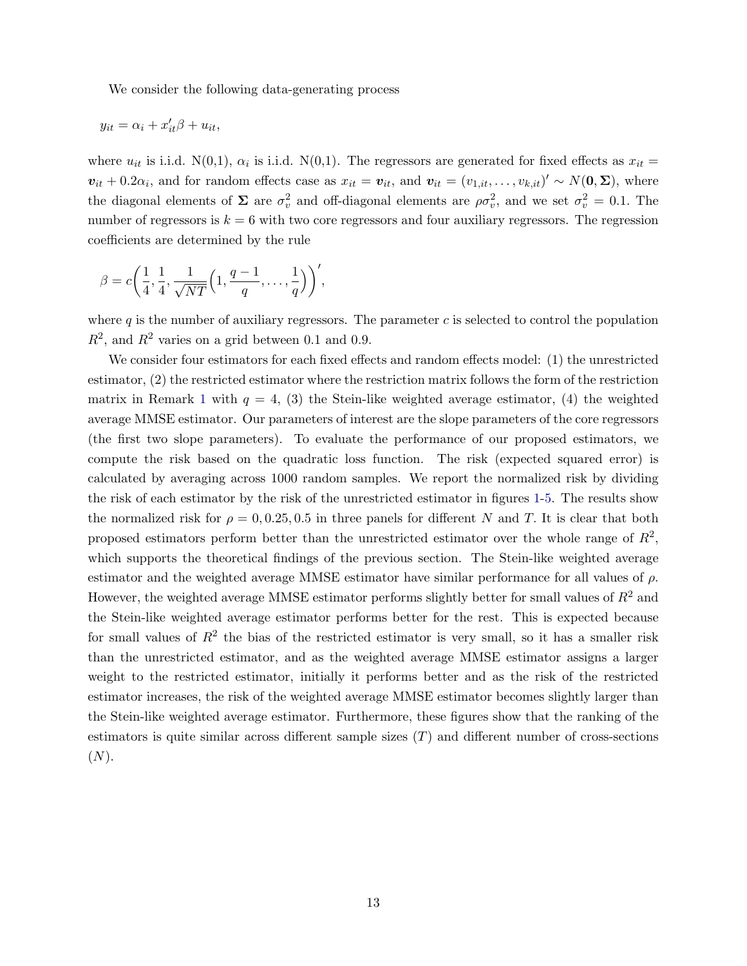We consider the following data-generating process

$$
y_{it} = \alpha_i + x'_{it}\beta + u_{it},
$$

where  $u_{it}$  is i.i.d. N(0,1),  $\alpha_i$  is i.i.d. N(0,1). The regressors are generated for fixed effects as  $x_{it}$  =  $v_{it} + 0.2\alpha_i$ , and for random effects case as  $x_{it} = v_{it}$ , and  $v_{it} = (v_{1,it}, \ldots, v_{k,it})' \sim N(0, \Sigma)$ , where the diagonal elements of  $\Sigma$  are  $\sigma_v^2$  and off-diagonal elements are  $\rho \sigma_v^2$ , and we set  $\sigma_v^2 = 0.1$ . The number of regressors is  $k = 6$  with two core regressors and four auxiliary regressors. The regression coefficients are determined by the rule

$$
\beta = c \bigg( \frac{1}{4}, \frac{1}{4}, \frac{1}{\sqrt{NT}} \bigg( 1, \frac{q-1}{q}, \dots, \frac{1}{q} \bigg) \bigg)',
$$

where  $q$  is the number of auxiliary regressors. The parameter  $c$  is selected to control the population  $R^2$ , and  $R^2$  varies on a grid between 0.1 and 0.9.

We consider four estimators for each fixed effects and random effects model: (1) the unrestricted estimator, (2) the restricted estimator where the restriction matrix follows the form of the restriction matrix in Remark [1](#page-4-1) with  $q = 4$ , (3) the Stein-like weighted average estimator, (4) the weighted average MMSE estimator. Our parameters of interest are the slope parameters of the core regressors (the first two slope parameters). To evaluate the performance of our proposed estimators, we compute the risk based on the quadratic loss function. The risk (expected squared error) is calculated by averaging across 1000 random samples. We report the normalized risk by dividing the risk of each estimator by the risk of the unrestricted estimator in figures [1-](#page-13-0)[5.](#page-14-0) The results show the normalized risk for  $\rho = 0, 0.25, 0.5$  in three panels for different N and T. It is clear that both proposed estimators perform better than the unrestricted estimator over the whole range of  $R^2$ , which supports the theoretical findings of the previous section. The Stein-like weighted average estimator and the weighted average MMSE estimator have similar performance for all values of  $\rho$ . However, the weighted average MMSE estimator performs slightly better for small values of  $R^2$  and the Stein-like weighted average estimator performs better for the rest. This is expected because for small values of  $R^2$  the bias of the restricted estimator is very small, so it has a smaller risk than the unrestricted estimator, and as the weighted average MMSE estimator assigns a larger weight to the restricted estimator, initially it performs better and as the risk of the restricted estimator increases, the risk of the weighted average MMSE estimator becomes slightly larger than the Stein-like weighted average estimator. Furthermore, these figures show that the ranking of the estimators is quite similar across different sample sizes  $(T)$  and different number of cross-sections  $(N).$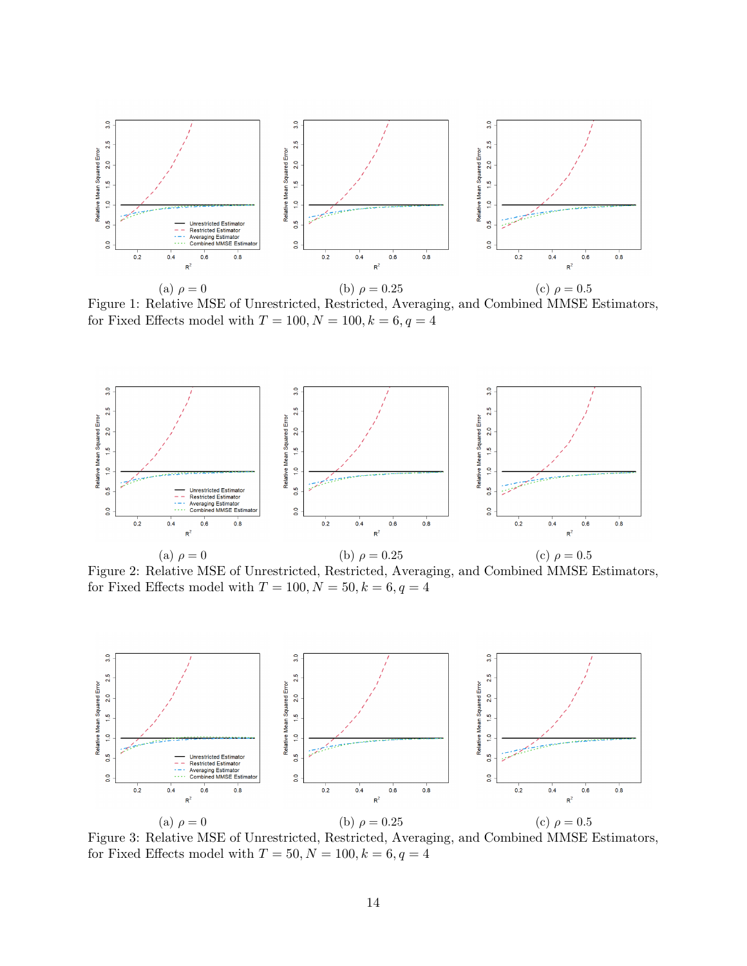<span id="page-13-0"></span>

(a)  $\rho = 0$  (b)  $\rho = 0.25$  (c)  $\rho = 0.5$ Figure 1: Relative MSE of Unrestricted, Restricted, Averaging, and Combined MMSE Estimators, for Fixed Effects model with  $T = 100, N = 100, k = 6, q = 4$ 



Figure 2: Relative MSE of Unrestricted, Restricted, Averaging, and Combined MMSE Estimators, for Fixed Effects model with  $T=100, {\cal N}=50, k=6, q=4$ 



Figure 3: Relative MSE of Unrestricted, Restricted, Averaging, and Combined MMSE Estimators, for Fixed Effects model with  $T = 50, N = 100, k = 6, q = 4$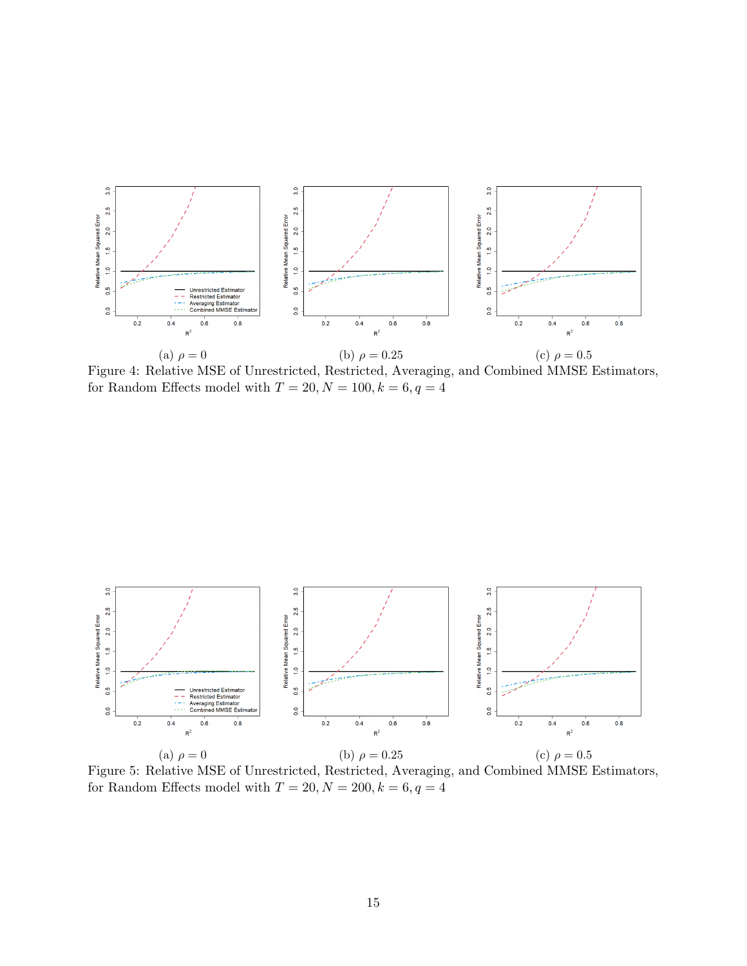

Figure 4: Relative MSE of Unrestricted, Restricted, Averaging, and Combined MMSE Estimators, for Random Effects model with  $T=20, {\cal N}=100, k=6, q=4$ 

<span id="page-14-0"></span>

Figure 5: Relative MSE of Unrestricted, Restricted, Averaging, and Combined MMSE Estimators, for Random Effects model with  $T = 20, N = 200, k = 6, q = 4$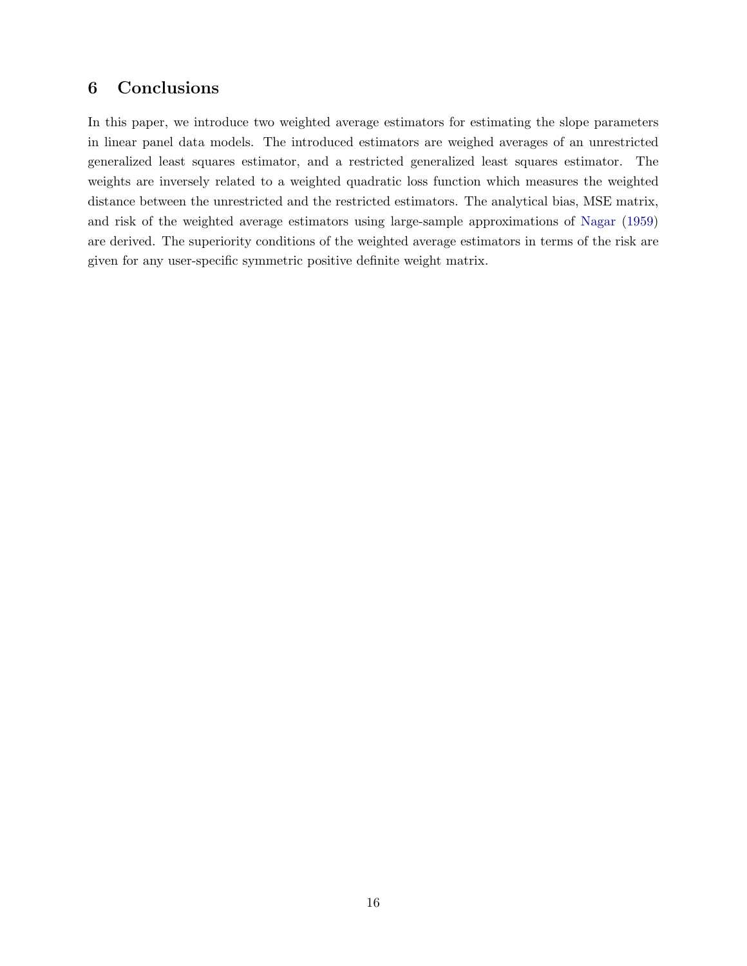## <span id="page-15-0"></span>6 Conclusions

In this paper, we introduce two weighted average estimators for estimating the slope parameters in linear panel data models. The introduced estimators are weighed averages of an unrestricted generalized least squares estimator, and a restricted generalized least squares estimator. The weights are inversely related to a weighted quadratic loss function which measures the weighted distance between the unrestricted and the restricted estimators. The analytical bias, MSE matrix, and risk of the weighted average estimators using large-sample approximations of [Nagar](#page-17-8) [\(1959\)](#page-17-8) are derived. The superiority conditions of the weighted average estimators in terms of the risk are given for any user-specific symmetric positive definite weight matrix.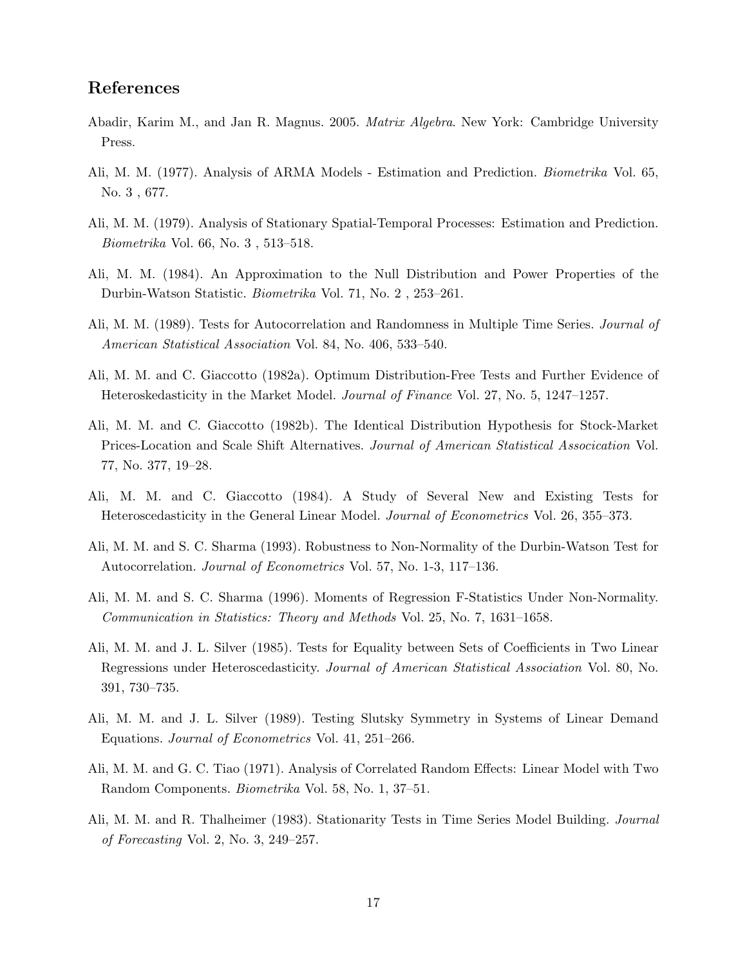### References

- <span id="page-16-13"></span>Abadir, Karim M., and Jan R. Magnus. 2005. Matrix Algebra. New York: Cambridge University Press.
- <span id="page-16-1"></span>Ali, M. M. (1977). Analysis of ARMA Models - Estimation and Prediction. Biometrika Vol. 65, No. 3 , 677.
- <span id="page-16-2"></span>Ali, M. M. (1979). Analysis of Stationary Spatial-Temporal Processes: Estimation and Prediction. Biometrika Vol. 66, No. 3 , 513–518.
- <span id="page-16-3"></span>Ali, M. M. (1984). An Approximation to the Null Distribution and Power Properties of the Durbin-Watson Statistic. Biometrika Vol. 71, No. 2 , 253–261.
- <span id="page-16-4"></span>Ali, M. M. (1989). Tests for Autocorrelation and Randomness in Multiple Time Series. Journal of American Statistical Association Vol. 84, No. 406, 533–540.
- <span id="page-16-7"></span>Ali, M. M. and C. Giaccotto (1982a). Optimum Distribution-Free Tests and Further Evidence of Heteroskedasticity in the Market Model. Journal of Finance Vol. 27, No. 5, 1247–1257.
- <span id="page-16-8"></span>Ali, M. M. and C. Giaccotto (1982b). The Identical Distribution Hypothesis for Stock-Market Prices-Location and Scale Shift Alternatives. Journal of American Statistical Assocication Vol. 77, No. 377, 19–28.
- <span id="page-16-9"></span>Ali, M. M. and C. Giaccotto (1984). A Study of Several New and Existing Tests for Heteroscedasticity in the General Linear Model. Journal of Econometrics Vol. 26, 355–373.
- <span id="page-16-5"></span>Ali, M. M. and S. C. Sharma (1993). Robustness to Non-Normality of the Durbin-Watson Test for Autocorrelation. Journal of Econometrics Vol. 57, No. 1-3, 117–136.
- <span id="page-16-6"></span>Ali, M. M. and S. C. Sharma (1996). Moments of Regression F-Statistics Under Non-Normality. Communication in Statistics: Theory and Methods Vol. 25, No. 7, 1631–1658.
- <span id="page-16-11"></span>Ali, M. M. and J. L. Silver (1985). Tests for Equality between Sets of Coefficients in Two Linear Regressions under Heteroscedasticity. Journal of American Statistical Association Vol. 80, No. 391, 730–735.
- <span id="page-16-12"></span>Ali, M. M. and J. L. Silver (1989). Testing Slutsky Symmetry in Systems of Linear Demand Equations. Journal of Econometrics Vol. 41, 251–266.
- <span id="page-16-10"></span>Ali, M. M. and G. C. Tiao (1971). Analysis of Correlated Random Effects: Linear Model with Two Random Components. Biometrika Vol. 58, No. 1, 37–51.
- <span id="page-16-0"></span>Ali, M. M. and R. Thalheimer (1983). Stationarity Tests in Time Series Model Building. Journal of Forecasting Vol. 2, No. 3, 249–257.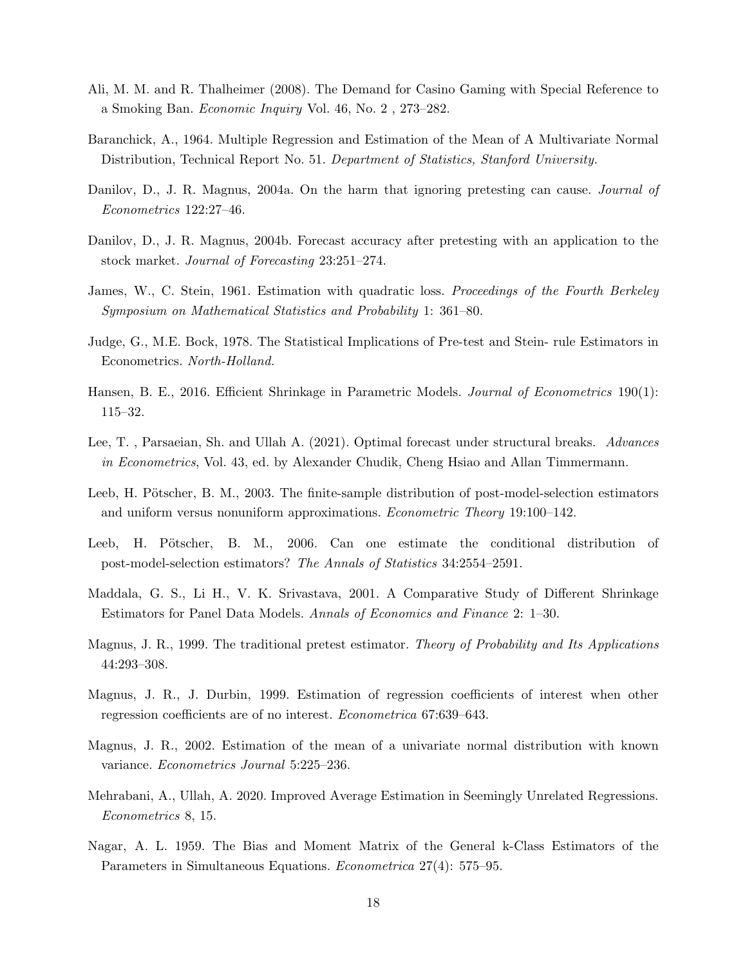- <span id="page-17-0"></span>Ali, M. M. and R. Thalheimer (2008). The Demand for Casino Gaming with Special Reference to a Smoking Ban. Economic Inquiry Vol. 46, No. 2 , 273–282.
- <span id="page-17-10"></span>Baranchick, A., 1964. Multiple Regression and Estimation of the Mean of A Multivariate Normal Distribution, Technical Report No. 51. Department of Statistics, Stanford University.
- <span id="page-17-3"></span>Danilov, D., J. R. Magnus, 2004a. On the harm that ignoring pretesting can cause. *Journal of* Econometrics 122:27–46.
- <span id="page-17-4"></span>Danilov, D., J. R. Magnus, 2004b. Forecast accuracy after pretesting with an application to the stock market. Journal of Forecasting 23:251–274.
- <span id="page-17-9"></span>James, W., C. Stein, 1961. Estimation with quadratic loss. Proceedings of the Fourth Berkeley Symposium on Mathematical Statistics and Probability 1: 361–80.
- <span id="page-17-11"></span>Judge, G., M.E. Bock, 1978. The Statistical Implications of Pre-test and Stein- rule Estimators in Econometrics. North-Holland.
- <span id="page-17-13"></span>Hansen, B. E., 2016. Efficient Shrinkage in Parametric Models. *Journal of Econometrics* 190(1): 115–32.
- <span id="page-17-15"></span>Lee, T. , Parsaeian, Sh. and Ullah A. (2021). Optimal forecast under structural breaks. Advances in Econometrics, Vol. 43, ed. by Alexander Chudik, Cheng Hsiao and Allan Timmermann.
- <span id="page-17-6"></span>Leeb, H. Pötscher, B. M., 2003. The finite-sample distribution of post-model-selection estimators and uniform versus nonuniform approximations. Econometric Theory 19:100–142.
- <span id="page-17-7"></span>Leeb, H. Pötscher, B. M., 2006. Can one estimate the conditional distribution of post-model-selection estimators? The Annals of Statistics 34:2554–2591.
- <span id="page-17-14"></span>Maddala, G. S., Li H., V. K. Srivastava, 2001. A Comparative Study of Different Shrinkage Estimators for Panel Data Models. Annals of Economics and Finance 2: 1–30.
- <span id="page-17-1"></span>Magnus, J. R., 1999. The traditional pretest estimator. Theory of Probability and Its Applications 44:293–308.
- <span id="page-17-2"></span>Magnus, J. R., J. Durbin, 1999. Estimation of regression coefficients of interest when other regression coefficients are of no interest. Econometrica 67:639–643.
- <span id="page-17-5"></span>Magnus, J. R., 2002. Estimation of the mean of a univariate normal distribution with known variance. Econometrics Journal 5:225–236.
- <span id="page-17-12"></span>Mehrabani, A., Ullah, A. 2020. Improved Average Estimation in Seemingly Unrelated Regressions. Econometrics 8, 15.
- <span id="page-17-8"></span>Nagar, A. L. 1959. The Bias and Moment Matrix of the General k-Class Estimators of the Parameters in Simultaneous Equations. Econometrica 27(4): 575–95.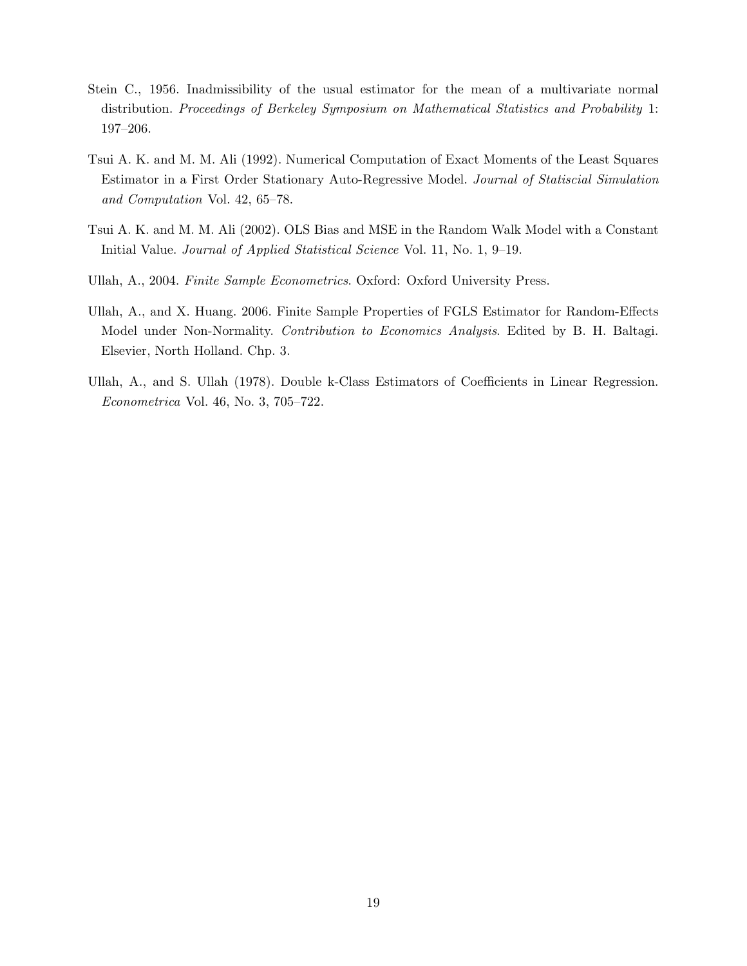- <span id="page-18-2"></span>Stein C., 1956. Inadmissibility of the usual estimator for the mean of a multivariate normal distribution. Proceedings of Berkeley Symposium on Mathematical Statistics and Probability 1: 197–206.
- <span id="page-18-0"></span>Tsui A. K. and M. M. Ali (1992). Numerical Computation of Exact Moments of the Least Squares Estimator in a First Order Stationary Auto-Regressive Model. Journal of Statiscial Simulation and Computation Vol. 42, 65–78.
- <span id="page-18-1"></span>Tsui A. K. and M. M. Ali (2002). OLS Bias and MSE in the Random Walk Model with a Constant Initial Value. *Journal of Applied Statistical Science* Vol. 11, No. 1, 9–19.
- Ullah, A., 2004. Finite Sample Econometrics. Oxford: Oxford University Press.
- <span id="page-18-4"></span>Ullah, A., and X. Huang. 2006. Finite Sample Properties of FGLS Estimator for Random-Effects Model under Non-Normality. Contribution to Economics Analysis. Edited by B. H. Baltagi. Elsevier, North Holland. Chp. 3.
- <span id="page-18-3"></span>Ullah, A., and S. Ullah (1978). Double k-Class Estimators of Coefficients in Linear Regression. Econometrica Vol. 46, No. 3, 705–722.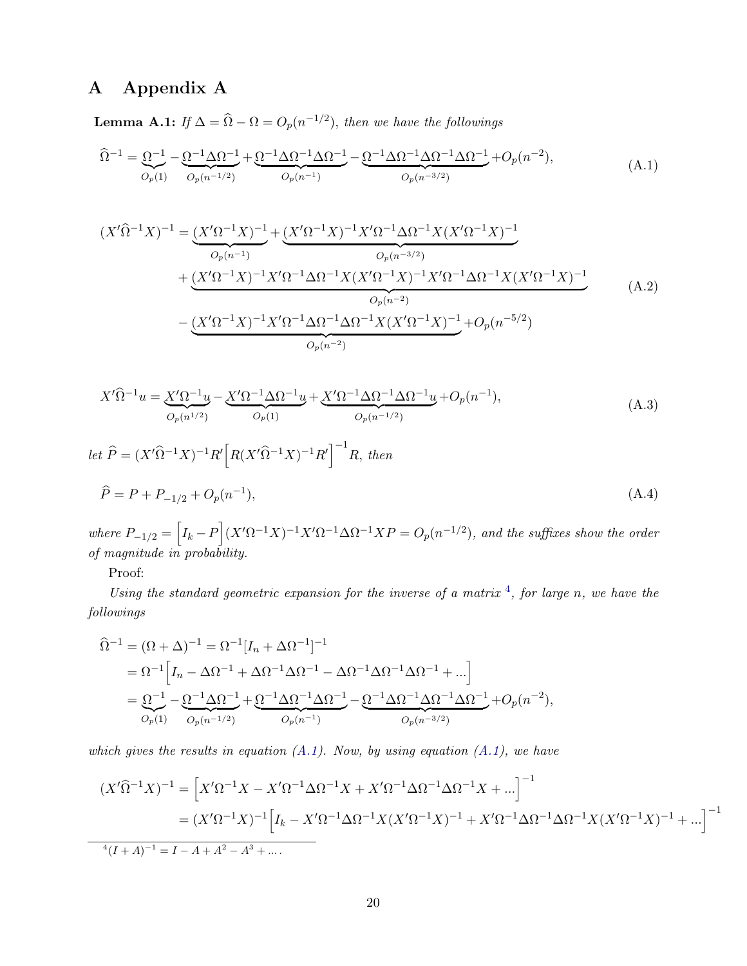# <span id="page-19-0"></span>A Appendix A

<span id="page-19-4"></span>**Lemma A.1:** If  $\Delta = \widehat{\Omega} - \Omega = O_p(n^{-1/2})$ , then we have the followings

<span id="page-19-3"></span>
$$
\widehat{\Omega}^{-1} = \underbrace{\Omega^{-1}}_{O_p(1)} - \underbrace{\Omega^{-1} \Delta \Omega^{-1}}_{O_p(n^{-1/2})} + \underbrace{\Omega^{-1} \Delta \Omega^{-1} \Delta \Omega^{-1}}_{O_p(n^{-1})} - \underbrace{\Omega^{-1} \Delta \Omega^{-1} \Delta \Omega^{-1} \Delta \Omega^{-1}}_{O_p(n^{-3/2})} + O_p(n^{-2}),
$$
\n(A.1)

$$
(X'\hat{\Omega}^{-1}X)^{-1} = \underbrace{(X'\Omega^{-1}X)^{-1}}_{O_p(n^{-1})} + \underbrace{(X'\Omega^{-1}X)^{-1}X'\Omega^{-1}\Delta\Omega^{-1}X(X'\Omega^{-1}X)^{-1}}_{O_p(n^{-3/2})}
$$
  
+ 
$$
\underbrace{(X'\Omega^{-1}X)^{-1}X'\Omega^{-1}\Delta\Omega^{-1}X(X'\Omega^{-1}X)^{-1}X'\Omega^{-1}\Delta\Omega^{-1}X(X'\Omega^{-1}X)^{-1}}_{O_p(n^{-2})}
$$
  
- 
$$
\underbrace{(X'\Omega^{-1}X)^{-1}X'\Omega^{-1}\Delta\Omega^{-1}\Delta\Omega^{-1}X(X'\Omega^{-1}X)^{-1}}_{O_p(n^{-2})} + O_p(n^{-5/2})
$$
 (A.2)

<span id="page-19-1"></span>
$$
X'\hat{\Omega}^{-1}u = \underbrace{X'\Omega^{-1}u}_{O_p(n^{1/2})} - \underbrace{X'\Omega^{-1}\Delta\Omega^{-1}u}_{O_p(1)} + \underbrace{X'\Omega^{-1}\Delta\Omega^{-1}\Delta\Omega^{-1}u}_{O_p(n^{-1/2})} + O_p(n^{-1}),
$$
\n(A.3)

let 
$$
\hat{P} = (X'\hat{\Omega}^{-1}X)^{-1}R'\Big[R(X'\hat{\Omega}^{-1}X)^{-1}R'\Big]^{-1}R
$$
, then  
\n
$$
\hat{P} = P + P_{-1/2} + O_p(n^{-1}),
$$
\n(A.4)

where  $P_{-1/2} = \left[I_k - P\right](X'\Omega^{-1}X)^{-1}X'\Omega^{-1}\Delta\Omega^{-1}XP = O_p(n^{-1/2})$ , and the suffixes show the order of magnitude in probability.

Proof:

Using the standard geometric expansion for the inverse of a matrix  $4$ , for large n, we have the followings

$$
\begin{split}\n\widehat{\Omega}^{-1} &= (\Omega + \Delta)^{-1} = \Omega^{-1} [I_n + \Delta \Omega^{-1}]^{-1} \\
&= \Omega^{-1} \Big[ I_n - \Delta \Omega^{-1} + \Delta \Omega^{-1} \Delta \Omega^{-1} - \Delta \Omega^{-1} \Delta \Omega^{-1} + \dots \Big] \\
&= \underbrace{\Omega^{-1}}_{O_p(1)} - \underbrace{\Omega^{-1} \Delta \Omega^{-1}}_{O_p(n^{-1/2})} + \underbrace{\Omega^{-1} \Delta \Omega^{-1} \Delta \Omega^{-1}}_{O_p(n^{-1})} - \underbrace{\Omega^{-1} \Delta \Omega^{-1} \Delta \Omega^{-1} \Delta \Omega^{-1}}_{O_p(n^{-3/2})} + O_p(n^{-2}),\n\end{split}
$$

which gives the results in equation  $(A.1)$ . Now, by using equation  $(A.1)$ , we have

<span id="page-19-2"></span>
$$
(X'\hat{\Omega}^{-1}X)^{-1} = \left[X'\Omega^{-1}X - X'\Omega^{-1}\Delta\Omega^{-1}X + X'\Omega^{-1}\Delta\Omega^{-1}X + ...\right]^{-1}
$$
  
=  $(X'\Omega^{-1}X)^{-1}\left[I_k - X'\Omega^{-1}\Delta\Omega^{-1}X(X'\Omega^{-1}X)^{-1} + X'\Omega^{-1}\Delta\Omega^{-1}\Delta\Omega^{-1}X(X'\Omega^{-1}X)^{-1} + ...\right]^{-1}$   

$$
A(I+A)^{-1} = I - A + A^2 - A^3 + ...
$$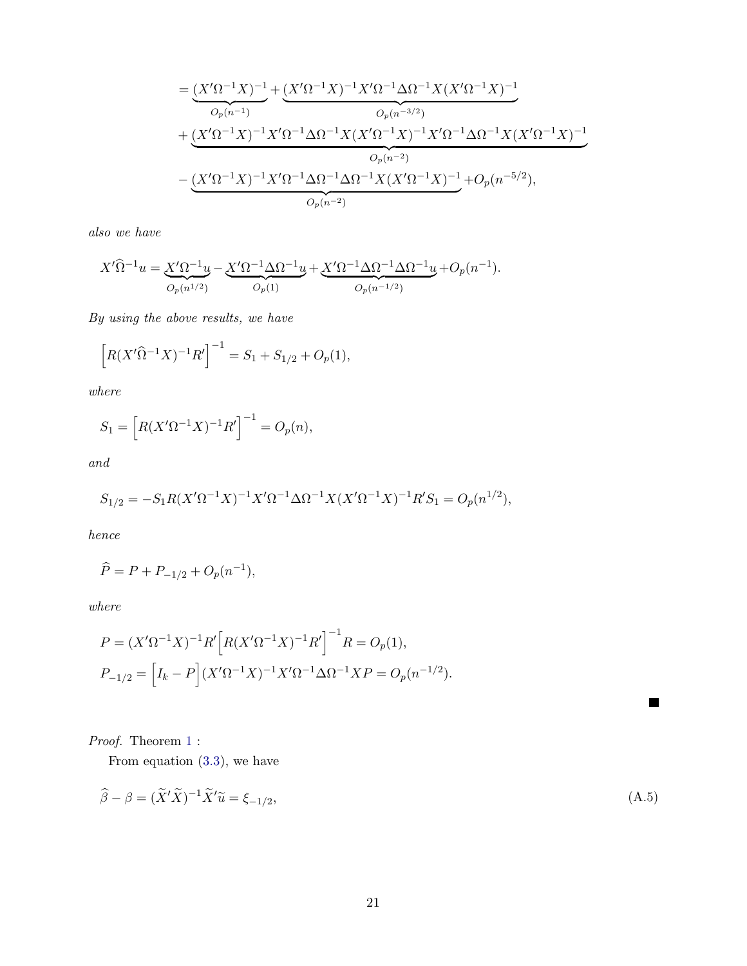$$
= \underbrace{(X'\Omega^{-1}X)^{-1}}_{O_p(n^{-1})} + \underbrace{(X'\Omega^{-1}X)^{-1}X'\Omega^{-1}\Delta\Omega^{-1}X(X'\Omega^{-1}X)^{-1}}_{O_p(n^{-3/2})}
$$
  
+ 
$$
\underbrace{(X'\Omega^{-1}X)^{-1}X'\Omega^{-1}\Delta\Omega^{-1}X(X'\Omega^{-1}X)^{-1}X'\Omega^{-1}\Delta\Omega^{-1}X(X'\Omega^{-1}X)^{-1}}_{O_p(n^{-2})}
$$
  
- 
$$
\underbrace{(X'\Omega^{-1}X)^{-1}X'\Omega^{-1}\Delta\Omega^{-1}\Delta\Omega^{-1}X(X'\Omega^{-1}X)^{-1}}_{O_p(n^{-2})} + O_p(n^{-5/2}),
$$

also we have

$$
X'\hat{\Omega}^{-1}u = \underbrace{X'\Omega^{-1}u}_{O_p(n^{1/2})} - \underbrace{X'\Omega^{-1}\Delta\Omega^{-1}u}_{O_p(1)} + \underbrace{X'\Omega^{-1}\Delta\Omega^{-1}\Delta\Omega^{-1}u}_{O_p(n^{-1/2})} + O_p(n^{-1}).
$$

By using the above results, we have

$$
\[R(X'\widehat{\Omega}^{-1}X)^{-1}R'\]^{-1} = S_1 + S_{1/2} + O_p(1),
$$

where

$$
S_1 = \left[ R(X'\Omega^{-1}X)^{-1}R' \right]^{-1} = O_p(n),
$$

and

$$
S_{1/2} = -S_1 R (X' \Omega^{-1} X)^{-1} X' \Omega^{-1} \Delta \Omega^{-1} X (X' \Omega^{-1} X)^{-1} R' S_1 = O_p(n^{1/2}),
$$

hence

$$
\widehat{P} = P + P_{-1/2} + O_p(n^{-1}),
$$

where

$$
P = (X'\Omega^{-1}X)^{-1}R'\Big[R(X'\Omega^{-1}X)^{-1}R'\Big]^{-1}R = O_p(1),
$$
  
\n
$$
P_{-1/2} = \Big[I_k - P\Big](X'\Omega^{-1}X)^{-1}X'\Omega^{-1}\Delta\Omega^{-1}XP = O_p(n^{-1/2}).
$$

Proof. Theorem [1](#page-7-1) :

<span id="page-20-0"></span>From equation [\(3.3\)](#page-4-2), we have

$$
\widehat{\beta} - \beta = (\widetilde{X}'\widetilde{X})^{-1}\widetilde{X}'\widetilde{u} = \xi_{-1/2},\tag{A.5}
$$

 $\blacksquare$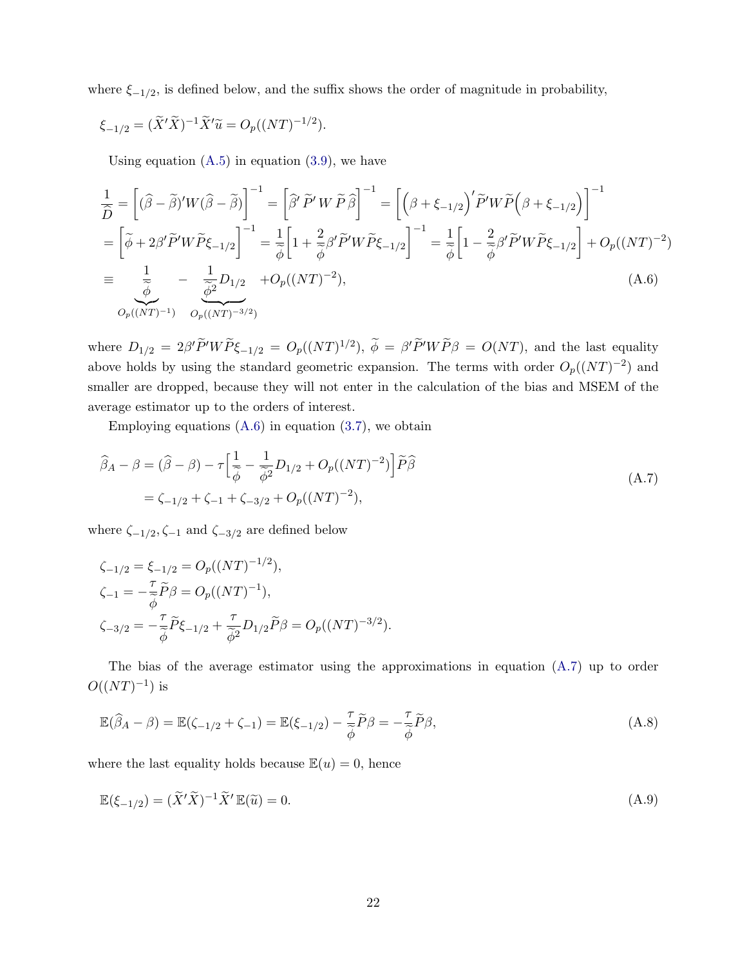where  $\xi_{-1/2}$ , is defined below, and the suffix shows the order of magnitude in probability,

$$
\xi_{-1/2} = (\widetilde{X}'\widetilde{X})^{-1}\widetilde{X}'\widetilde{u} = O_p((NT)^{-1/2}).
$$

<span id="page-21-0"></span>Using equation  $(A.5)$  in equation  $(3.9)$ , we have

$$
\frac{1}{\hat{D}} = \left[ (\hat{\beta} - \tilde{\beta})' W (\hat{\beta} - \tilde{\beta}) \right]^{-1} = \left[ \hat{\beta}' \tilde{P}' W \tilde{P} \hat{\beta} \right]^{-1} = \left[ \left( \beta + \xi_{-1/2} \right)' \tilde{P}' W \tilde{P} \left( \beta + \xi_{-1/2} \right) \right]^{-1}
$$
\n
$$
= \left[ \tilde{\phi} + 2\beta' \tilde{P}' W \tilde{P} \xi_{-1/2} \right]^{-1} = \frac{1}{\tilde{\phi}} \left[ 1 + \frac{2}{\tilde{\phi}} \beta' \tilde{P}' W \tilde{P} \xi_{-1/2} \right]^{-1} = \frac{1}{\tilde{\phi}} \left[ 1 - \frac{2}{\tilde{\phi}} \beta' \tilde{P}' W \tilde{P} \xi_{-1/2} \right] + O_p((NT)^{-2})
$$
\n
$$
\equiv \frac{1}{\tilde{\phi}} - \frac{1}{\tilde{\phi}^2} D_{1/2} + O_p((NT)^{-2}), \tag{A.6}
$$
\n
$$
O_p((NT)^{-1}) - O_p((NT)^{-3/2})
$$

where  $D_{1/2} = 2\beta' \tilde{P}' W \tilde{P} \xi_{-1/2} = O_p((NT)^{1/2}), \ \tilde{\phi} = \beta' \tilde{P}' W \tilde{P} \beta = O(NT)$ , and the last equality above holds by using the standard geometric expansion. The terms with order  $O_p((NT)^{-2})$  and smaller are dropped, because they will not enter in the calculation of the bias and MSEM of the average estimator up to the orders of interest.

<span id="page-21-1"></span>Employing equations  $(A.6)$  in equation  $(3.7)$ , we obtain

$$
\widehat{\beta}_A - \beta = (\widehat{\beta} - \beta) - \tau \Big[ \frac{1}{\widetilde{\phi}} - \frac{1}{\widetilde{\phi}^2} D_{1/2} + O_p((NT)^{-2}) \Big] \widetilde{P}\widehat{\beta}
$$
\n
$$
= \zeta_{-1/2} + \zeta_{-1} + \zeta_{-3/2} + O_p((NT)^{-2}),
$$
\n(A.7)

where  $\zeta_{-1/2}, \zeta_{-1}$  and  $\zeta_{-3/2}$  are defined below

$$
\zeta_{-1/2} = \xi_{-1/2} = O_p((NT)^{-1/2}),
$$
  
\n
$$
\zeta_{-1} = -\frac{\tau}{\phi} \widetilde{P} \beta = O_p((NT)^{-1}),
$$
  
\n
$$
\zeta_{-3/2} = -\frac{\tau}{\phi} \widetilde{P} \xi_{-1/2} + \frac{\tau}{\widetilde{\phi}^2} D_{1/2} \widetilde{P} \beta = O_p((NT)^{-3/2}).
$$

The bias of the average estimator using the approximations in equation [\(A.7\)](#page-21-1) up to order  $O((NT)^{-1})$  is

<span id="page-21-2"></span>
$$
\mathbb{E}(\widehat{\beta}_A - \beta) = \mathbb{E}(\zeta_{-1/2} + \zeta_{-1}) = \mathbb{E}(\xi_{-1/2}) - \frac{\tau}{\widetilde{\phi}}\widetilde{P}\beta = -\frac{\tau}{\widetilde{\phi}}\widetilde{P}\beta,
$$
\n(A.8)

where the last equality holds because  $\mathbb{E}(u) = 0$ , hence

$$
\mathbb{E}(\xi_{-1/2}) = (\widetilde{X}'\widetilde{X})^{-1}\widetilde{X}'\mathbb{E}(\widetilde{u}) = 0.
$$
\n(A.9)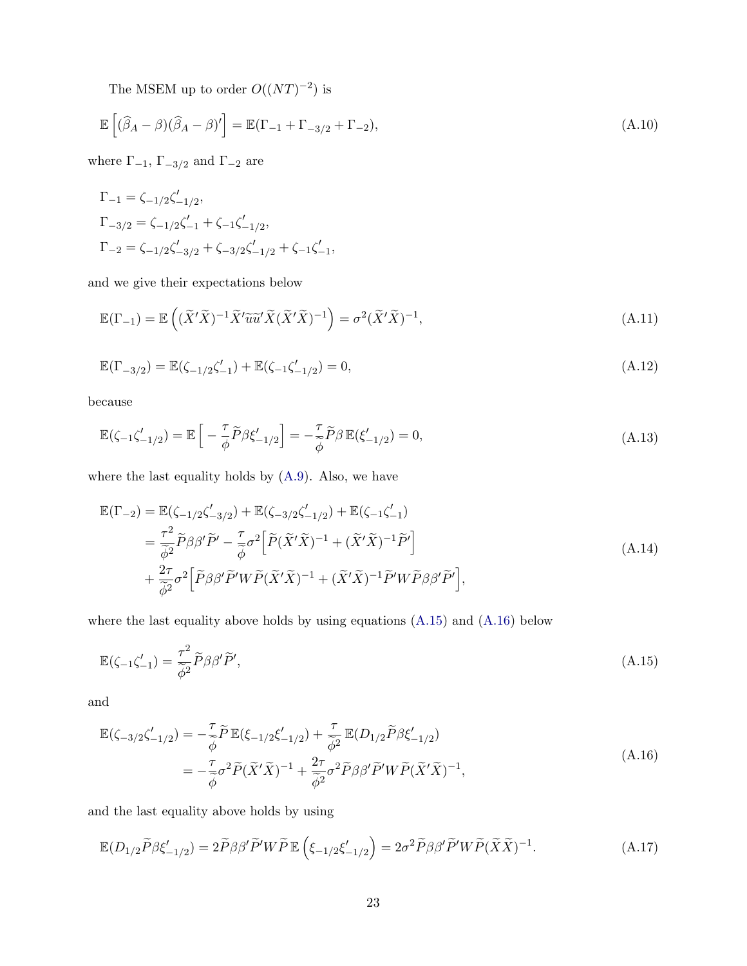<span id="page-22-5"></span>The MSEM up to order  $O((NT)^{-2})$  is

$$
\mathbb{E}\left[ (\widehat{\beta}_A - \beta)(\widehat{\beta}_A - \beta)' \right] = \mathbb{E}(\Gamma_{-1} + \Gamma_{-3/2} + \Gamma_{-2}),\tag{A.10}
$$

where  $\Gamma_{-1},$   $\Gamma_{-3/2}$  and  $\Gamma_{-2}$  are

$$
\begin{aligned} \Gamma_{-1} &= \zeta_{-1/2}\zeta_{-1/2}', \\ \Gamma_{-3/2} &= \zeta_{-1/2}\zeta_{-1}' + \zeta_{-1}\zeta_{-1/2}', \\ \Gamma_{-2} &= \zeta_{-1/2}\zeta_{-3/2}' + \zeta_{-3/2}\zeta_{-1/2}' + \zeta_{-1}\zeta_{-1}', \end{aligned}
$$

and we give their expectations below

<span id="page-22-2"></span>
$$
\mathbb{E}(\Gamma_{-1}) = \mathbb{E}\left( (\widetilde{X}'\widetilde{X})^{-1}\widetilde{X}'\widetilde{u}\widetilde{u}'\widetilde{X}(\widetilde{X}'\widetilde{X})^{-1} \right) = \sigma^2(\widetilde{X}'\widetilde{X})^{-1},\tag{A.11}
$$

<span id="page-22-3"></span>
$$
\mathbb{E}(\Gamma_{-3/2}) = \mathbb{E}(\zeta_{-1/2}\zeta_{-1}') + \mathbb{E}(\zeta_{-1}\zeta_{-1/2}') = 0,
$$
\n(A.12)

because

<span id="page-22-4"></span>
$$
\mathbb{E}(\zeta_{-1}\zeta_{-1/2}') = \mathbb{E}\left[-\frac{\tau}{\phi}\widetilde{P}\beta\xi_{-1/2}'\right] = -\frac{\tau}{\widetilde{\phi}}\widetilde{P}\beta\,\mathbb{E}(\xi_{-1/2}') = 0,\tag{A.13}
$$

where the last equality holds by [\(A.9\)](#page-21-2). Also, we have

$$
\mathbb{E}(\Gamma_{-2}) = \mathbb{E}(\zeta_{-1/2}\zeta'_{-3/2}) + \mathbb{E}(\zeta_{-3/2}\zeta'_{-1/2}) + \mathbb{E}(\zeta_{-1}\zeta'_{-1})
$$
\n
$$
= \frac{\tau^2}{\tilde{\phi}^2} \tilde{P}\beta\beta'\tilde{P}' - \frac{\tau}{\tilde{\phi}}\sigma^2 \left[ \tilde{P}(\tilde{X}'\tilde{X})^{-1} + (\tilde{X}'\tilde{X})^{-1}\tilde{P}' \right]
$$
\n
$$
+ \frac{2\tau}{\tilde{\phi}^2}\sigma^2 \left[ \tilde{P}\beta\beta'\tilde{P}'W\tilde{P}(\tilde{X}'\tilde{X})^{-1} + (\tilde{X}'\tilde{X})^{-1}\tilde{P}'W\tilde{P}\beta\beta'\tilde{P}' \right],
$$
\n(A.14)

where the last equality above holds by using equations [\(A.15\)](#page-22-0) and [\(A.16\)](#page-22-1) below

<span id="page-22-0"></span>
$$
\mathbb{E}(\zeta_{-1}\zeta_{-1}') = \frac{\tau^2}{\tilde{\phi}^2} \tilde{P}\beta\beta'\tilde{P}',\tag{A.15}
$$

<span id="page-22-1"></span>and

$$
\mathbb{E}(\zeta_{-3/2}\zeta_{-1/2}') = -\frac{\tau}{\tilde{\phi}}\widetilde{P}\mathbb{E}(\xi_{-1/2}\xi_{-1/2}') + \frac{\tau}{\tilde{\phi}^2}\mathbb{E}(D_{1/2}\widetilde{P}\beta\xi_{-1/2}') \n= -\frac{\tau}{\tilde{\phi}}\sigma^2\widetilde{P}(\widetilde{X}'\widetilde{X})^{-1} + \frac{2\tau}{\tilde{\phi}^2}\sigma^2\widetilde{P}\beta\beta'\widetilde{P}'W\widetilde{P}(\widetilde{X}'\widetilde{X})^{-1},
$$
\n(A.16)

and the last equality above holds by using

<span id="page-22-6"></span>
$$
\mathbb{E}(D_{1/2}\widetilde{P}\beta\xi_{-1/2}') = 2\widetilde{P}\beta\beta'\widetilde{P}'W\widetilde{P}\mathbb{E}\left(\xi_{-1/2}\xi_{-1/2}'\right) = 2\sigma^2\widetilde{P}\beta\beta'\widetilde{P}'W\widetilde{P}(\widetilde{X}\widetilde{X})^{-1}.
$$
\n(A.17)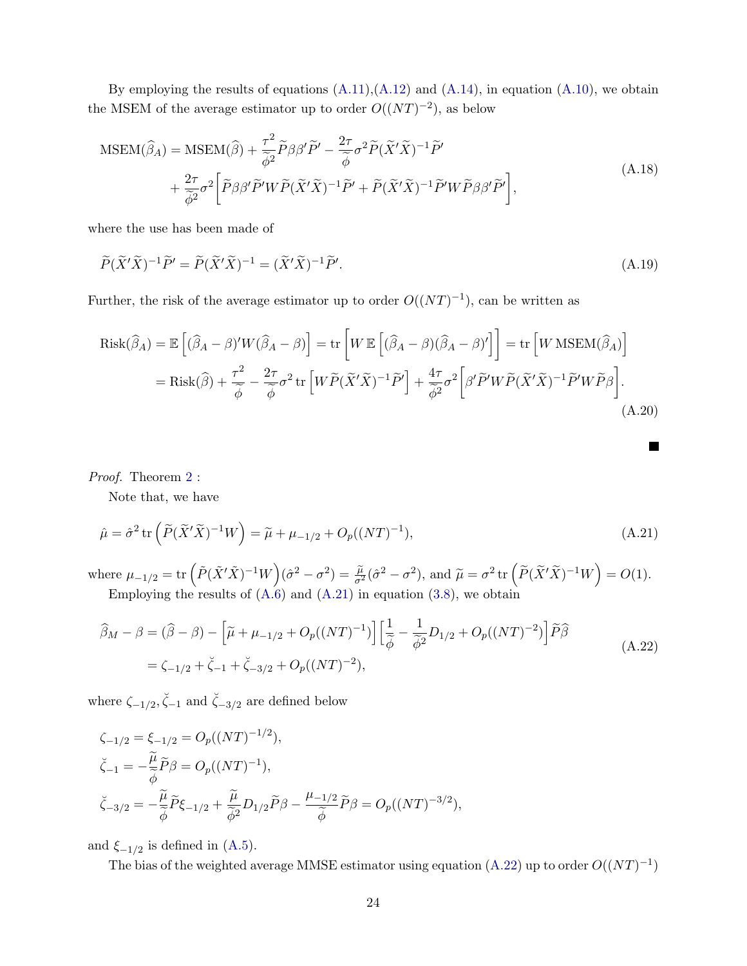By employing the results of equations  $(A.11), (A.12)$  $(A.11), (A.12)$  and  $(A.14),$  in equation  $(A.10)$ , we obtain the MSEM of the average estimator up to order  $O((NT)^{-2})$ , as below

$$
\begin{split} \text{MSEM}(\hat{\beta}_{A}) &= \text{MSEM}(\hat{\beta}) + \frac{\tau^{2}}{\tilde{\phi}^{2}} \tilde{P} \beta \beta' \tilde{P}' - \frac{2\tau}{\tilde{\phi}} \sigma^{2} \tilde{P} (\tilde{X}' \tilde{X})^{-1} \tilde{P}' \\ &+ \frac{2\tau}{\tilde{\phi}^{2}} \sigma^{2} \bigg[ \tilde{P} \beta \beta' \tilde{P}' W \tilde{P} (\tilde{X}' \tilde{X})^{-1} \tilde{P}' + \tilde{P} (\tilde{X}' \tilde{X})^{-1} \tilde{P}' W \tilde{P} \beta \beta' \tilde{P}' \bigg], \end{split} \tag{A.18}
$$

where the use has been made of

<span id="page-23-3"></span>
$$
\widetilde{P}(\widetilde{X}'\widetilde{X})^{-1}\widetilde{P}' = \widetilde{P}(\widetilde{X}'\widetilde{X})^{-1} = (\widetilde{X}'\widetilde{X})^{-1}\widetilde{P}'.
$$
\n(A.19)

Further, the risk of the average estimator up to order  $O((NT)^{-1})$ , can be written as

$$
Risk(\hat{\beta}_A) = \mathbb{E}\left[ (\hat{\beta}_A - \beta)'W(\hat{\beta}_A - \beta) \right] = \text{tr}\left[ W \mathbb{E}\left[ (\hat{\beta}_A - \beta)(\hat{\beta}_A - \beta)'\right] \right] = \text{tr}\left[ W \text{MSEM}(\hat{\beta}_A) \right]
$$
  
= Risk(\hat{\beta}) +  $\frac{\tau^2}{\tilde{\phi}} - \frac{2\tau}{\tilde{\phi}} \sigma^2 \text{tr}\left[ W \tilde{P}(\tilde{X}'\tilde{X})^{-1} \tilde{P}' \right] + \frac{4\tau}{\tilde{\phi}^2} \sigma^2 \left[ \beta' \tilde{P}' W \tilde{P}(\tilde{X}'\tilde{X})^{-1} \tilde{P}' W \tilde{P} \beta \right].$  (A.20)

<span id="page-23-2"></span><span id="page-23-0"></span>**The Second Service** 

Proof. Theorem [2](#page-8-3) :

<span id="page-23-1"></span>Note that, we have

$$
\hat{\mu} = \hat{\sigma}^2 \operatorname{tr}\left(\widetilde{P}(\widetilde{X}'\widetilde{X})^{-1}W\right) = \widetilde{\mu} + \mu_{-1/2} + O_p((NT)^{-1}),\tag{A.21}
$$

where  $\mu_{-1/2} = \text{tr} \left( \tilde{P} (\tilde{X}' \tilde{X})^{-1} W \right) (\hat{\sigma}^2 - \sigma^2) = \frac{\tilde{\mu}}{\sigma^2} (\hat{\sigma}^2 - \sigma^2)$ , and  $\tilde{\mu} = \sigma^2 \text{tr} \left( \tilde{P} (\tilde{X}' \tilde{X})^{-1} W \right) = O(1)$ . Employing the results of  $(A.6)$  and  $(A.21)$  in equation  $(3.8)$ , we obtain

$$
\widehat{\beta}_M - \beta = (\widehat{\beta} - \beta) - \left[ \widetilde{\mu} + \mu_{-1/2} + O_p((NT)^{-1}) \right] \left[ \frac{1}{\widetilde{\phi}} - \frac{1}{\widetilde{\phi}^2} D_{1/2} + O_p((NT)^{-2}) \right] \widetilde{P}\widehat{\beta}
$$
\n
$$
= \zeta_{-1/2} + \zeta_{-1} + \zeta_{-3/2} + O_p((NT)^{-2}), \tag{A.22}
$$

where  $\zeta_{-1/2}, \check{\zeta}_{-1}$  and  $\check{\zeta}_{-3/2}$  are defined below

$$
\zeta_{-1/2} = \xi_{-1/2} = O_p((NT)^{-1/2}),
$$
  
\n
$$
\check{\zeta}_{-1} = -\frac{\widetilde{\mu}}{\widetilde{\phi}} \widetilde{P} \beta = O_p((NT)^{-1}),
$$
  
\n
$$
\check{\zeta}_{-3/2} = -\frac{\widetilde{\mu}}{\widetilde{\phi}} \widetilde{P} \xi_{-1/2} + \frac{\widetilde{\mu}}{\widetilde{\phi}^2} D_{1/2} \widetilde{P} \beta - \frac{\mu_{-1/2}}{\widetilde{\phi}} \widetilde{P} \beta = O_p((NT)^{-3/2}),
$$

and  $\xi_{-1/2}$  is defined in [\(A.5\)](#page-20-0).

The bias of the weighted average MMSE estimator using equation [\(A.22\)](#page-23-2) up to order  $O((NT)^{-1})$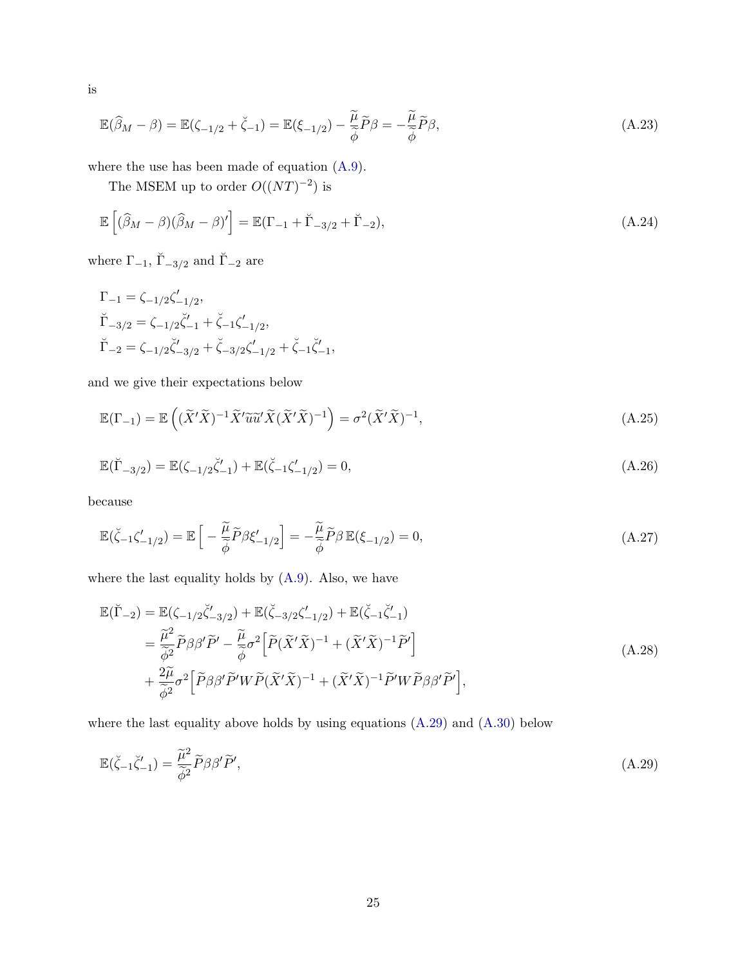$$
\mathrm{is}\,
$$

$$
\mathbb{E}(\widehat{\beta}_M - \beta) = \mathbb{E}(\zeta_{-1/2} + \breve{\zeta}_{-1}) = \mathbb{E}(\xi_{-1/2}) - \frac{\widetilde{\mu}}{\widetilde{\phi}}\widetilde{P}\beta = -\frac{\widetilde{\mu}}{\widetilde{\phi}}\widetilde{P}\beta,
$$
\n(A.23)

where the use has been made of equation [\(A.9\)](#page-21-2).

<span id="page-24-4"></span>The MSEM up to order  $O((NT)^{-2})$  is

$$
\mathbb{E}\left[ (\widehat{\beta}_M - \beta)(\widehat{\beta}_M - \beta)' \right] = \mathbb{E}(\Gamma_{-1} + \breve{\Gamma}_{-3/2} + \breve{\Gamma}_{-2}), \tag{A.24}
$$

where  $\Gamma_{-1}$ ,  $\check{\Gamma}_{-3/2}$  and  $\check{\Gamma}_{-2}$  are

$$
\begin{aligned} \Gamma_{-1} &= \zeta_{-1/2} \zeta_{-1/2}', \\ \breve{\Gamma}_{-3/2} &= \zeta_{-1/2} \breve{\zeta}_{-1}' + \breve{\zeta}_{-1} \zeta_{-1/2}', \\ \breve{\Gamma}_{-2} &= \zeta_{-1/2} \breve{\zeta}_{-3/2}' + \breve{\zeta}_{-3/2} \zeta_{-1/2}' + \breve{\zeta}_{-1} \breve{\zeta}_{-1}', \end{aligned}
$$

and we give their expectations below

<span id="page-24-1"></span>
$$
\mathbb{E}(\Gamma_{-1}) = \mathbb{E}\left( (\tilde{X}'\tilde{X})^{-1} \tilde{X}' \tilde{u}\tilde{u}' \tilde{X} (\tilde{X}'\tilde{X})^{-1} \right) = \sigma^2 (\tilde{X}'\tilde{X})^{-1},\tag{A.25}
$$

<span id="page-24-2"></span>
$$
\mathbb{E}(\breve{\Gamma}_{-3/2}) = \mathbb{E}(\zeta_{-1/2}\breve{\zeta}'_{-1}) + \mathbb{E}(\breve{\zeta}_{-1}\zeta'_{-1/2}) = 0,
$$
\n(A.26)

because

<span id="page-24-3"></span>
$$
\mathbb{E}(\check{\zeta}_{-1}\zeta'_{-1/2}) = \mathbb{E}\left[-\frac{\widetilde{\mu}}{\widetilde{\phi}}\widetilde{P}\beta\xi'_{-1/2}\right] = -\frac{\widetilde{\mu}}{\widetilde{\phi}}\widetilde{P}\beta\,\mathbb{E}(\xi_{-1/2}) = 0,\tag{A.27}
$$

where the last equality holds by [\(A.9\)](#page-21-2). Also, we have

$$
\mathbb{E}(\breve{\Gamma}_{-2}) = \mathbb{E}(\zeta_{-1/2}\breve{\zeta}'_{-3/2}) + \mathbb{E}(\breve{\zeta}_{-3/2}\zeta'_{-1/2}) + \mathbb{E}(\breve{\zeta}_{-1}\breve{\zeta}'_{-1}) \n= \frac{\widetilde{\mu}^2}{\widetilde{\phi}^2} \widetilde{P}\beta\beta'\widetilde{P}' - \frac{\widetilde{\mu}}{\widetilde{\phi}}\sigma^2 \left[ \widetilde{P}(\widetilde{X}'\widetilde{X})^{-1} + (\widetilde{X}'\widetilde{X})^{-1}\widetilde{P}' \right] \n+ \frac{2\widetilde{\mu}}{\widetilde{\phi}^2}\sigma^2 \left[ \widetilde{P}\beta\beta'\widetilde{P}'W\widetilde{P}(\widetilde{X}'\widetilde{X})^{-1} + (\widetilde{X}'\widetilde{X})^{-1}\widetilde{P}'W\widetilde{P}\beta\beta'\widetilde{P}' \right],
$$
\n(A.28)

where the last equality above holds by using equations [\(A.29\)](#page-24-0) and [\(A.30\)](#page-25-1) below

<span id="page-24-0"></span>
$$
\mathbb{E}(\breve{\zeta}_{-1}\breve{\zeta}'_{-1}) = \frac{\widetilde{\mu}^2}{\widetilde{\phi}^2} \widetilde{P}\beta\beta'\widetilde{P}',\tag{A.29}
$$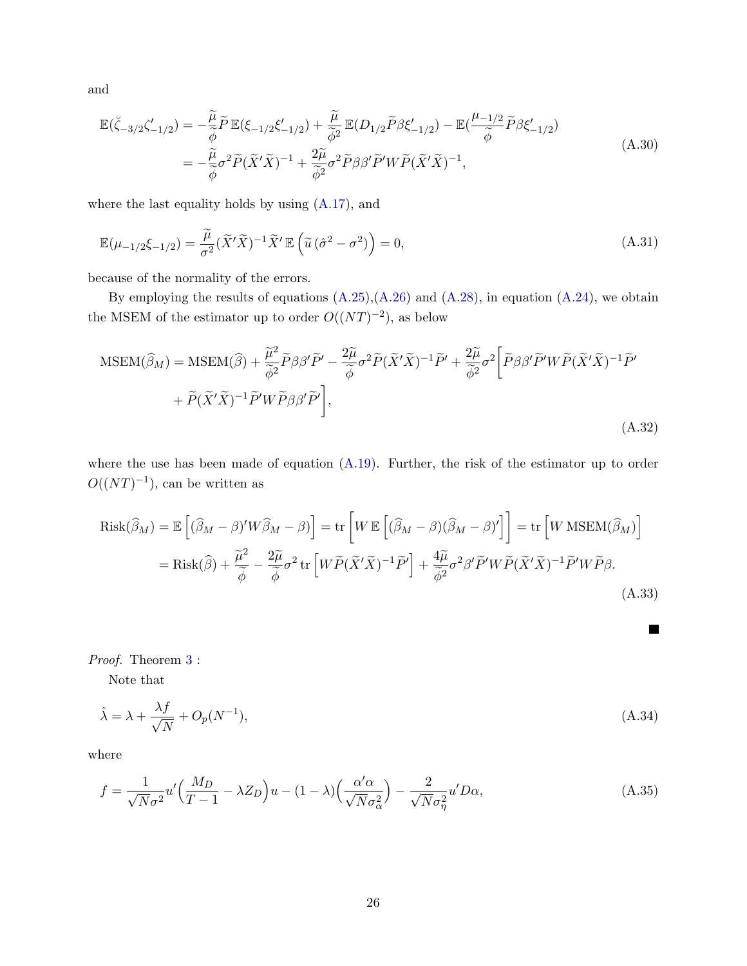<span id="page-25-1"></span>and

$$
\mathbb{E}(\check{\zeta}_{-3/2}\zeta'_{-1/2}) = -\frac{\widetilde{\mu}}{\widetilde{\phi}}\widetilde{P}\,\mathbb{E}(\xi_{-1/2}\xi'_{-1/2}) + \frac{\widetilde{\mu}}{\widetilde{\phi}^2}\,\mathbb{E}(D_{1/2}\widetilde{P}\beta\xi'_{-1/2}) - \mathbb{E}(\frac{\mu_{-1/2}}{\widetilde{\phi}}\widetilde{P}\beta\xi'_{-1/2})
$$
\n
$$
= -\frac{\widetilde{\mu}}{\widetilde{\phi}}\sigma^2\widetilde{P}(\widetilde{X}'\widetilde{X})^{-1} + \frac{2\widetilde{\mu}}{\widetilde{\phi}^2}\sigma^2\widetilde{P}\beta\beta'\widetilde{P}'W\widetilde{P}(\widetilde{X}'\widetilde{X})^{-1},
$$
\n(A.30)

where the last equality holds by using [\(A.17\)](#page-22-6), and

$$
\mathbb{E}(\mu_{-1/2}\xi_{-1/2}) = \frac{\widetilde{\mu}}{\sigma^2} (\widetilde{X}'\widetilde{X})^{-1} \widetilde{X}' \mathbb{E}(\widetilde{u}(\widehat{\sigma}^2 - \sigma^2)) = 0,
$$
\n(A.31)

because of the normality of the errors.

By employing the results of equations  $(A.25), (A.26)$  $(A.25), (A.26)$  and  $(A.28),$  in equation  $(A.24)$ , we obtain the MSEM of the estimator up to order  $O((NT)^{-2})$ , as below

$$
\begin{split} \text{MSEM}(\hat{\beta}_M) &= \text{MSEM}(\hat{\beta}) + \frac{\tilde{\mu}^2}{\tilde{\phi}^2} \tilde{P} \beta \beta' \tilde{P}' - \frac{2\tilde{\mu}}{\tilde{\phi}} \sigma^2 \tilde{P} (\tilde{X}' \tilde{X})^{-1} \tilde{P}' + \frac{2\tilde{\mu}}{\tilde{\phi}^2} \sigma^2 \bigg[ \tilde{P} \beta \beta' \tilde{P}' W \tilde{P} (\tilde{X}' \tilde{X})^{-1} \tilde{P}' \\ &+ \tilde{P} (\tilde{X}' \tilde{X})^{-1} \tilde{P}' W \tilde{P} \beta \beta' \tilde{P}' \bigg], \end{split} \tag{A.32}
$$

where the use has been made of equation [\(A.19\)](#page-23-3). Further, the risk of the estimator up to order  $O((NT)^{-1})$ , can be written as

<span id="page-25-0"></span>
$$
\text{Risk}(\widehat{\beta}_M) = \mathbb{E}\left[ (\widehat{\beta}_M - \beta)' W \widehat{\beta}_M - \beta \right] = \text{tr}\left[ W \mathbb{E}\left[ (\widehat{\beta}_M - \beta) (\widehat{\beta}_M - \beta)' \right] \right] = \text{tr}\left[ W \text{MSEM}(\widehat{\beta}_M) \right]
$$

$$
= \text{Risk}(\widehat{\beta}) + \frac{\widetilde{\mu}^2}{\widetilde{\phi}} - \frac{2\widetilde{\mu}}{\widetilde{\phi}} \sigma^2 \text{ tr}\left[ W \widetilde{P} (\widetilde{X}' \widetilde{X})^{-1} \widetilde{P}' \right] + \frac{4\widetilde{\mu}}{\widetilde{\phi}^2} \sigma^2 \beta' \widetilde{P}' W \widetilde{P} (\widetilde{X}' \widetilde{X})^{-1} \widetilde{P}' W \widetilde{P} \beta. \tag{A.33}
$$

 $\blacksquare$ 

Proof. Theorem [3](#page-10-0) :

Note that

$$
\hat{\lambda} = \lambda + \frac{\lambda f}{\sqrt{N}} + O_p(N^{-1}),\tag{A.34}
$$

where

$$
f = \frac{1}{\sqrt{N}\sigma^2} u' \left(\frac{M_D}{T-1} - \lambda Z_D\right) u - (1-\lambda) \left(\frac{\alpha'\alpha}{\sqrt{N}\sigma_\alpha^2}\right) - \frac{2}{\sqrt{N}\sigma_\eta^2} u' D\alpha,\tag{A.35}
$$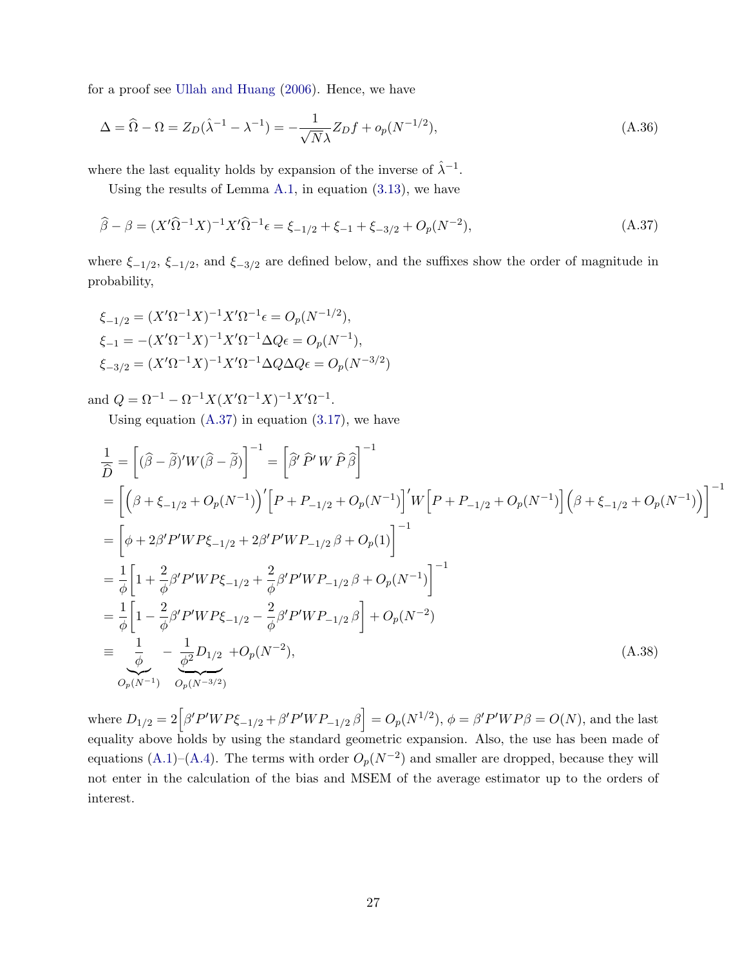for a proof see [Ullah and Huang](#page-18-4) [\(2006\)](#page-18-4). Hence, we have

$$
\Delta = \hat{\Omega} - \Omega = Z_D(\hat{\lambda}^{-1} - \lambda^{-1}) = -\frac{1}{\sqrt{N}\lambda} Z_D f + o_p(N^{-1/2}),
$$
\n(A.36)

where the last equality holds by expansion of the inverse of  $\hat{\lambda}^{-1}$ .

<span id="page-26-0"></span>Using the results of Lemma [A.1,](#page-19-4) in equation [\(3.13\)](#page-6-0), we have

$$
\widehat{\beta} - \beta = (X'\widehat{\Omega}^{-1}X)^{-1}X'\widehat{\Omega}^{-1}\epsilon = \xi_{-1/2} + \xi_{-1} + \xi_{-3/2} + O_p(N^{-2}),\tag{A.37}
$$

where  $\xi_{-1/2}, \xi_{-1/2}$ , and  $\xi_{-3/2}$  are defined below, and the suffixes show the order of magnitude in probability,

$$
\xi_{-1/2} = (X'\Omega^{-1}X)^{-1}X'\Omega^{-1}\epsilon = O_p(N^{-1/2}),
$$
  
\n
$$
\xi_{-1} = -(X'\Omega^{-1}X)^{-1}X'\Omega^{-1}\Delta Q\epsilon = O_p(N^{-1}),
$$
  
\n
$$
\xi_{-3/2} = (X'\Omega^{-1}X)^{-1}X'\Omega^{-1}\Delta Q\Delta Q\epsilon = O_p(N^{-3/2})
$$

and  $Q = \Omega^{-1} - \Omega^{-1} X (X'\Omega^{-1}X)^{-1} X'\Omega^{-1}$ .

Using equation  $(A.37)$  in equation  $(3.17)$ , we have

$$
\frac{1}{\hat{D}} = [(\hat{\beta} - \tilde{\beta})'W(\hat{\beta} - \tilde{\beta})]^{-1} = [\hat{\beta}' \hat{P}' W \hat{P} \hat{\beta}]^{-1}
$$
\n
$$
= [(\beta + \xi_{-1/2} + O_p(N^{-1}))' [P + P_{-1/2} + O_p(N^{-1})]' W [P + P_{-1/2} + O_p(N^{-1})] (\beta + \xi_{-1/2} + O_p(N^{-1}))]^{-1}
$$
\n
$$
= [\phi + 2\beta' P' W P \xi_{-1/2} + 2\beta' P' W P_{-1/2} \beta + O_p(1)]^{-1}
$$
\n
$$
= \frac{1}{\phi} [1 + \frac{2}{\phi} \beta' P' W P \xi_{-1/2} + \frac{2}{\phi} \beta' P' W P_{-1/2} \beta + O_p(N^{-1})]^{-1}
$$
\n
$$
= \frac{1}{\phi} [1 - \frac{2}{\phi} \beta' P' W P \xi_{-1/2} - \frac{2}{\phi} \beta' P' W P_{-1/2} \beta] + O_p(N^{-2})
$$
\n
$$
= \frac{1}{\phi} - \frac{1}{\phi^2} D_{1/2} + O_p(N^{-2}),
$$
\n(A.38)\n
$$
O_p(N^{-1}) - O_p(N^{-3/2})
$$

<span id="page-26-1"></span>where  $D_{1/2} = 2 \left[ \beta' P' W P \xi_{-1/2} + \beta' P' W P_{-1/2} \beta \right] = O_p(N^{1/2}), \phi = \beta' P' W P \beta = O(N)$ , and the last equality above holds by using the standard geometric expansion. Also, the use has been made of equations [\(A.1\)](#page-19-3)–[\(A.4\)](#page-19-1). The terms with order  $O_p(N^{-2})$  and smaller are dropped, because they will not enter in the calculation of the bias and MSEM of the average estimator up to the orders of interest.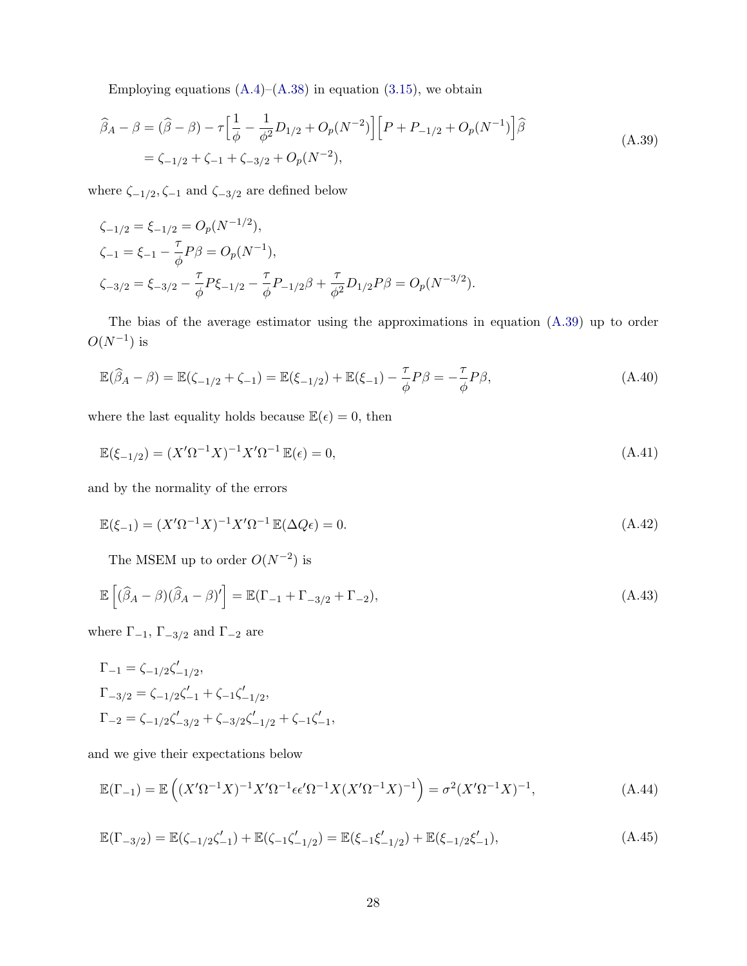<span id="page-27-0"></span>Employing equations  $(A.4)$ – $(A.38)$  in equation  $(3.15)$ , we obtain

$$
\widehat{\beta}_A - \beta = (\widehat{\beta} - \beta) - \tau \Big[ \frac{1}{\phi} - \frac{1}{\phi^2} D_{1/2} + O_p(N^{-2}) \Big] \Big[ P + P_{-1/2} + O_p(N^{-1}) \Big] \widehat{\beta}
$$
\n
$$
= \zeta_{-1/2} + \zeta_{-1} + \zeta_{-3/2} + O_p(N^{-2}), \tag{A.39}
$$

where  $\zeta_{-1/2}, \zeta_{-1}$  and  $\zeta_{-3/2}$  are defined below

$$
\zeta_{-1/2} = \xi_{-1/2} = O_p(N^{-1/2}),
$$
  
\n
$$
\zeta_{-1} = \xi_{-1} - \frac{\tau}{\phi} P \beta = O_p(N^{-1}),
$$
  
\n
$$
\zeta_{-3/2} = \xi_{-3/2} - \frac{\tau}{\phi} P \xi_{-1/2} - \frac{\tau}{\phi} P_{-1/2} \beta + \frac{\tau}{\phi^2} D_{1/2} P \beta = O_p(N^{-3/2}).
$$

The bias of the average estimator using the approximations in equation [\(A.39\)](#page-27-0) up to order  $O(N^{-1})$  is

<span id="page-27-1"></span>
$$
\mathbb{E}(\widehat{\beta}_A - \beta) = \mathbb{E}(\zeta_{-1/2} + \zeta_{-1}) = \mathbb{E}(\xi_{-1/2}) + \mathbb{E}(\xi_{-1}) - \frac{\tau}{\phi}P\beta = -\frac{\tau}{\phi}P\beta,
$$
\n(A.40)

where the last equality holds because  $\mathbb{E}(\epsilon) = 0$ , then

<span id="page-27-5"></span>
$$
\mathbb{E}(\xi_{-1/2}) = (X'\Omega^{-1}X)^{-1}X'\Omega^{-1}\mathbb{E}(\epsilon) = 0,
$$
\n(A.41)

and by the normality of the errors

$$
\mathbb{E}(\xi_{-1}) = (X'\Omega^{-1}X)^{-1}X'\Omega^{-1}\mathbb{E}(\Delta Q\epsilon) = 0.
$$
\n(A.42)

<span id="page-27-4"></span>The MSEM up to order  $O(N^{-2})$  is

$$
\mathbb{E}\left[ (\widehat{\beta}_A - \beta)(\widehat{\beta}_A - \beta)' \right] = \mathbb{E}(\Gamma_{-1} + \Gamma_{-3/2} + \Gamma_{-2}),\tag{A.43}
$$

where  $\Gamma_{-1},$   $\Gamma_{-3/2}$  and  $\Gamma_{-2}$  are

$$
\begin{aligned} \Gamma_{-1} &= \zeta_{-1/2}\zeta_{-1/2}', \\ \Gamma_{-3/2} &= \zeta_{-1/2}\zeta_{-1}' + \zeta_{-1}\zeta_{-1/2}', \\ \Gamma_{-2} &= \zeta_{-1/2}\zeta_{-3/2}' + \zeta_{-3/2}\zeta_{-1/2}' + \zeta_{-1}\zeta_{-1}', \end{aligned}
$$

and we give their expectations below

<span id="page-27-2"></span>
$$
\mathbb{E}(\Gamma_{-1}) = \mathbb{E}\left( (X'\Omega^{-1}X)^{-1}X'\Omega^{-1}\epsilon\epsilon'\Omega^{-1}X(X'\Omega^{-1}X)^{-1} \right) = \sigma^2(X'\Omega^{-1}X)^{-1},\tag{A.44}
$$

<span id="page-27-3"></span>
$$
\mathbb{E}(\Gamma_{-3/2}) = \mathbb{E}(\zeta_{-1/2}\zeta_{-1}') + \mathbb{E}(\zeta_{-1}\zeta_{-1/2}') = \mathbb{E}(\xi_{-1}\xi_{-1/2}') + \mathbb{E}(\xi_{-1/2}\xi_{-1}'),
$$
\n(A.45)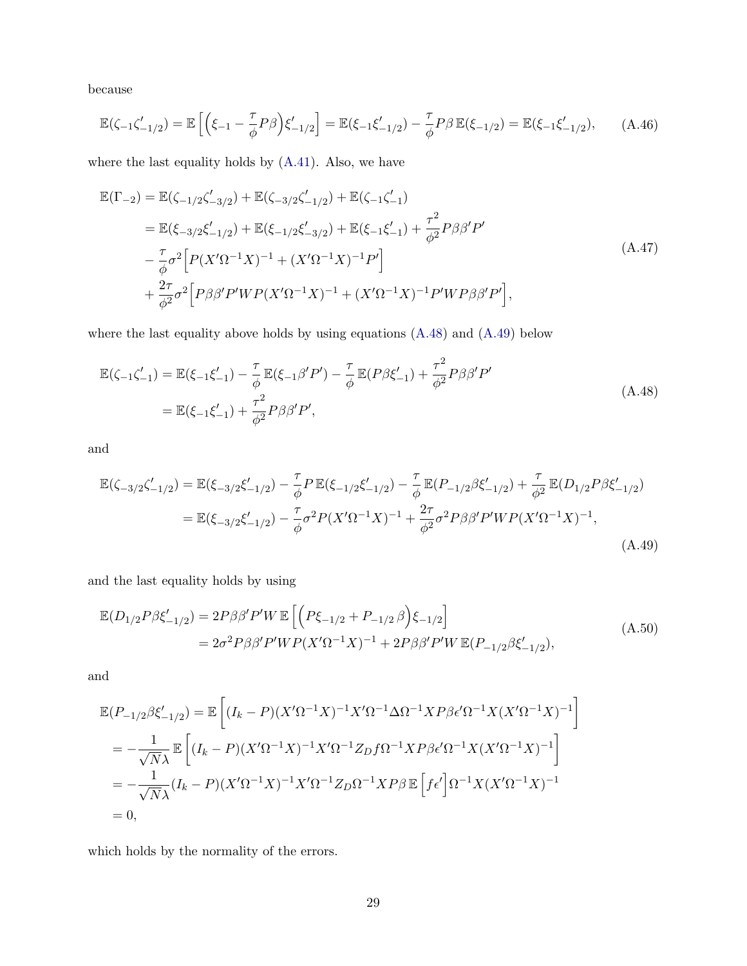because

<span id="page-28-2"></span>
$$
\mathbb{E}(\zeta_{-1}\zeta_{-1/2}') = \mathbb{E}\left[\left(\xi_{-1} - \frac{\tau}{\phi}P\beta\right)\xi_{-1/2}'\right] = \mathbb{E}(\xi_{-1}\xi_{-1/2}') - \frac{\tau}{\phi}P\beta\,\mathbb{E}(\xi_{-1/2}) = \mathbb{E}(\xi_{-1}\xi_{-1/2}'),\tag{A.46}
$$

where the last equality holds by [\(A.41\)](#page-27-1). Also, we have

$$
\mathbb{E}(\Gamma_{-2}) = \mathbb{E}(\zeta_{-1/2}\zeta'_{-3/2}) + \mathbb{E}(\zeta_{-3/2}\zeta'_{-1/2}) + \mathbb{E}(\zeta_{-1}\zeta'_{-1})
$$
\n
$$
= \mathbb{E}(\xi_{-3/2}\xi'_{-1/2}) + \mathbb{E}(\xi_{-1/2}\xi'_{-3/2}) + \mathbb{E}(\xi_{-1}\xi'_{-1}) + \frac{\tau^2}{\phi^2}P\beta\beta'P'
$$
\n
$$
- \frac{\tau}{\phi}\sigma^2 \Big[ P(X'\Omega^{-1}X)^{-1} + (X'\Omega^{-1}X)^{-1}P' \Big]
$$
\n
$$
+ \frac{2\tau}{\phi^2}\sigma^2 \Big[ P\beta\beta'P'WP(X'\Omega^{-1}X)^{-1} + (X'\Omega^{-1}X)^{-1}P'WP\beta\beta'P' \Big],
$$
\n(A.47)

where the last equality above holds by using equations [\(A.48\)](#page-28-0) and [\(A.49\)](#page-28-1) below

<span id="page-28-0"></span>
$$
\mathbb{E}(\zeta_{-1}\zeta'_{-1}) = \mathbb{E}(\xi_{-1}\xi'_{-1}) - \frac{\tau}{\phi} \mathbb{E}(\xi_{-1}\beta'P') - \frac{\tau}{\phi} \mathbb{E}(P\beta\xi'_{-1}) + \frac{\tau^2}{\phi^2} P\beta\beta'P'
$$
\n
$$
= \mathbb{E}(\xi_{-1}\xi'_{-1}) + \frac{\tau^2}{\phi^2} P\beta\beta'P',
$$
\n(A.48)

<span id="page-28-1"></span>and

$$
\mathbb{E}(\zeta_{-3/2}\zeta'_{-1/2}) = \mathbb{E}(\xi_{-3/2}\xi'_{-1/2}) - \frac{\tau}{\phi}P\mathbb{E}(\xi_{-1/2}\xi'_{-1/2}) - \frac{\tau}{\phi}\mathbb{E}(P_{-1/2}\beta\xi'_{-1/2}) + \frac{\tau}{\phi^2}\mathbb{E}(D_{1/2}P\beta\xi'_{-1/2})
$$
  
\n
$$
= \mathbb{E}(\xi_{-3/2}\xi'_{-1/2}) - \frac{\tau}{\phi}\sigma^2P(X'\Omega^{-1}X)^{-1} + \frac{2\tau}{\phi^2}\sigma^2P\beta\beta'P'WP(X'\Omega^{-1}X)^{-1},
$$
\n(A.49)

and the last equality holds by using

<span id="page-28-3"></span>
$$
\mathbb{E}(D_{1/2}P\beta\xi'_{-1/2}) = 2P\beta\beta'P'W\,\mathbb{E}\left[\left(P\xi_{-1/2} + P_{-1/2}\beta\right)\xi_{-1/2}\right] \n= 2\sigma^2P\beta\beta'P'WP(X'\Omega^{-1}X)^{-1} + 2P\beta\beta'P'W\,\mathbb{E}(P_{-1/2}\beta\xi'_{-1/2}),
$$
\n(A.50)

and

$$
\mathbb{E}(P_{-1/2}\beta\xi'_{-1/2}) = \mathbb{E}\left[ (I_k - P)(X'\Omega^{-1}X)^{-1}X'\Omega^{-1}\Delta\Omega^{-1}XP\beta\epsilon'\Omega^{-1}X(X'\Omega^{-1}X)^{-1} \right]
$$
  
\n
$$
= -\frac{1}{\sqrt{N}\lambda} \mathbb{E}\left[ (I_k - P)(X'\Omega^{-1}X)^{-1}X'\Omega^{-1}Z_Df\Omega^{-1}XP\beta\epsilon'\Omega^{-1}X(X'\Omega^{-1}X)^{-1} \right]
$$
  
\n
$$
= -\frac{1}{\sqrt{N}\lambda} (I_k - P)(X'\Omega^{-1}X)^{-1}X'\Omega^{-1}Z_D\Omega^{-1}XP\beta\mathbb{E}\left[f\epsilon'\right]\Omega^{-1}X(X'\Omega^{-1}X)^{-1}
$$
  
\n
$$
= 0,
$$

which holds by the normality of the errors.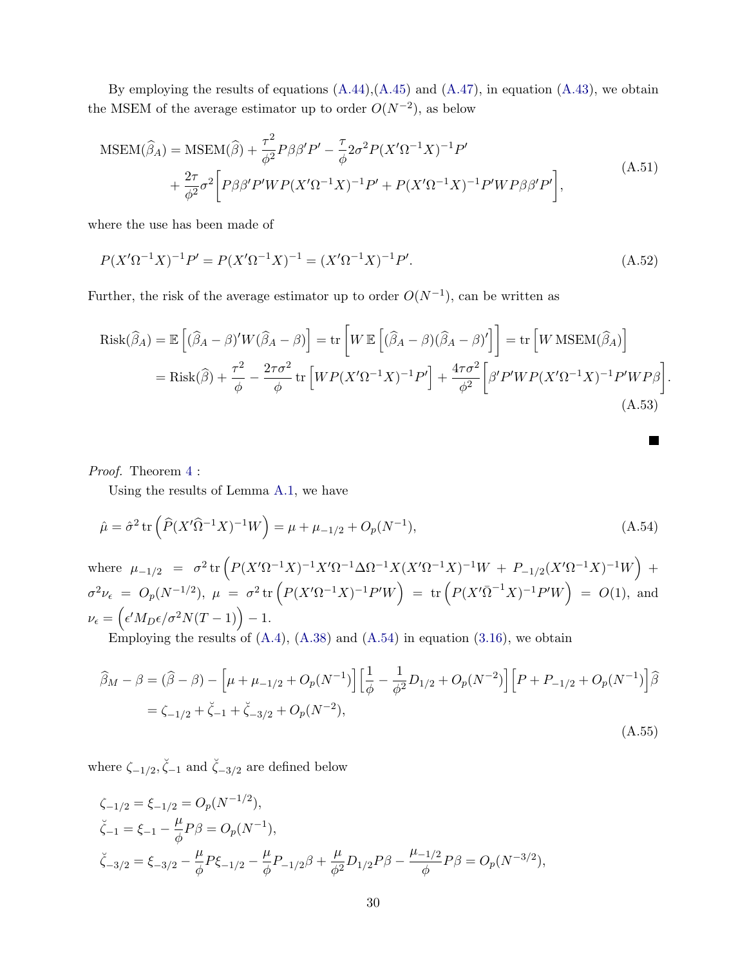By employing the results of equations  $(A.44),(A.45)$  $(A.44),(A.45)$  and  $(A.47)$ , in equation  $(A.43)$ , we obtain the MSEM of the average estimator up to order  $O(N^{-2})$ , as below

$$
\begin{split} \text{MSEM}(\widehat{\beta}_{A}) &= \text{MSEM}(\widehat{\beta}) + \frac{\tau^2}{\phi^2} P\beta\beta'P' - \frac{\tau}{\phi} 2\sigma^2 P(X'\Omega^{-1}X)^{-1}P' \\ &+ \frac{2\tau}{\phi^2}\sigma^2 \bigg[ P\beta\beta'P'WP(X'\Omega^{-1}X)^{-1}P' + P(X'\Omega^{-1}X)^{-1}P'WP\beta\beta'P' \bigg], \end{split} \tag{A.51}
$$

where the use has been made of

<span id="page-29-3"></span>
$$
P(X'\Omega^{-1}X)^{-1}P' = P(X'\Omega^{-1}X)^{-1} = (X'\Omega^{-1}X)^{-1}P'.\tag{A.52}
$$

Further, the risk of the average estimator up to order  $O(N^{-1})$ , can be written as

$$
Risk(\widehat{\beta}_A) = \mathbb{E}\left[ (\widehat{\beta}_A - \beta)'W(\widehat{\beta}_A - \beta) \right] = \text{tr}\left[ W \mathbb{E}\left[ (\widehat{\beta}_A - \beta)(\widehat{\beta}_A - \beta)'\right] \right] = \text{tr}\left[ W \text{MSEM}(\widehat{\beta}_A) \right]
$$

$$
= Risk(\widehat{\beta}) + \frac{\tau^2}{\phi} - \frac{2\tau\sigma^2}{\phi} \text{tr}\left[ WP(X'\Omega^{-1}X)^{-1}P'\right] + \frac{4\tau\sigma^2}{\phi^2} \left[ \beta'P'WP(X'\Omega^{-1}X)^{-1}P'WP\beta \right].
$$
(A.53)

<span id="page-29-2"></span><span id="page-29-0"></span>**The Second Service** 

#### Proof. Theorem [4](#page-11-1) :

<span id="page-29-1"></span>Using the results of Lemma [A.1,](#page-19-4) we have

$$
\hat{\mu} = \hat{\sigma}^2 \operatorname{tr} \left( \hat{P}(X'\hat{\Omega}^{-1}X)^{-1}W \right) = \mu + \mu_{-1/2} + O_p(N^{-1}),\tag{A.54}
$$

where  $\mu_{-1/2} = \sigma^2 \text{tr} \left( P(X'\Omega^{-1}X)^{-1} X'\Omega^{-1} \Delta \Omega^{-1} X (X'\Omega^{-1}X)^{-1} W + P_{-1/2} (X'\Omega^{-1} X)^{-1} W \right) +$  $\sigma^2 \nu_\epsilon \; = \; O_p(N^{-1/2}), \; \mu \; = \; \sigma^2 \, {\rm tr} \left( P(X'\Omega^{-1}X)^{-1}P'W \right) \; = \; {\rm tr} \left( P(X'\bar{\Omega}^{-1}X)^{-1}P'W \right) \; = \; O(1), \; {\rm and}$  $\nu_{\epsilon} = (\epsilon' M_D \epsilon / \sigma^2 N(T-1)) - 1.$ 

Employing the results of  $(A.4)$ ,  $(A.38)$  and  $(A.54)$  in equation  $(3.16)$ , we obtain

$$
\widehat{\beta}_M - \beta = (\widehat{\beta} - \beta) - \left[ \mu + \mu_{-1/2} + O_p(N^{-1}) \right] \left[ \frac{1}{\phi} - \frac{1}{\phi^2} D_{1/2} + O_p(N^{-2}) \right] \left[ P + P_{-1/2} + O_p(N^{-1}) \right] \widehat{\beta}
$$
\n
$$
= \zeta_{-1/2} + \zeta_{-1} + \zeta_{-3/2} + O_p(N^{-2}),
$$
\n(A.55)

where  $\zeta_{-1/2}, \check{\zeta}_{-1}$  and  $\check{\zeta}_{-3/2}$  are defined below

$$
\zeta_{-1/2} = \xi_{-1/2} = O_p(N^{-1/2}),
$$
  
\n
$$
\zeta_{-1} = \xi_{-1} - \frac{\mu}{\phi} P \beta = O_p(N^{-1}),
$$
  
\n
$$
\zeta_{-3/2} = \xi_{-3/2} - \frac{\mu}{\phi} P \xi_{-1/2} - \frac{\mu}{\phi} P_{-1/2} \beta + \frac{\mu}{\phi^2} D_{1/2} P \beta - \frac{\mu_{-1/2}}{\phi} P \beta = O_p(N^{-3/2}),
$$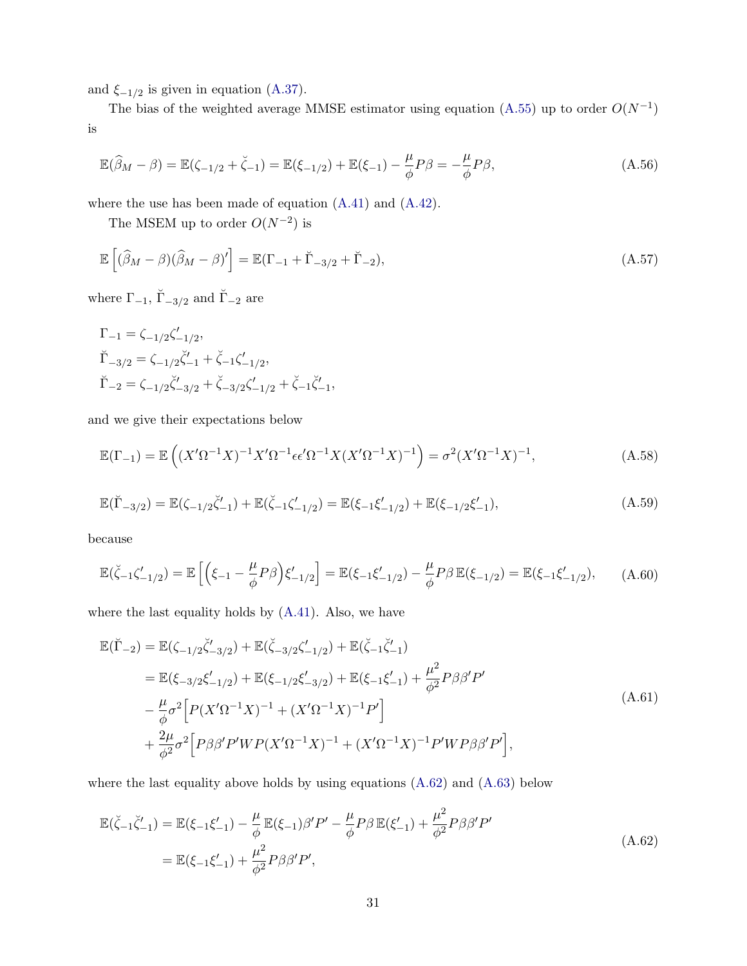and  $\xi_{-1/2}$  is given in equation [\(A.37\)](#page-26-0).

The bias of the weighted average MMSE estimator using equation [\(A.55\)](#page-29-2) up to order  $O(N^{-1})$ is

$$
\mathbb{E}(\widehat{\beta}_M - \beta) = \mathbb{E}(\zeta_{-1/2} + \breve{\zeta}_{-1}) = \mathbb{E}(\xi_{-1/2}) + \mathbb{E}(\xi_{-1}) - \frac{\mu}{\phi}P\beta = -\frac{\mu}{\phi}P\beta,
$$
\n(A.56)

where the use has been made of equation [\(A.41\)](#page-27-1) and [\(A.42\)](#page-27-5).

<span id="page-30-4"></span>The MSEM up to order  $O(N^{-2})$  is

$$
\mathbb{E}\left[ (\widehat{\beta}_M - \beta)(\widehat{\beta}_M - \beta)' \right] = \mathbb{E}(\Gamma_{-1} + \breve{\Gamma}_{-3/2} + \breve{\Gamma}_{-2}), \tag{A.57}
$$

where  $\Gamma_{-1}$ ,  $\check{\Gamma}_{-3/2}$  and  $\check{\Gamma}_{-2}$  are

$$
\begin{aligned} \Gamma_{-1} &= \zeta_{-1/2}\zeta_{-1/2}', \\ \breve{\Gamma}_{-3/2} &= \zeta_{-1/2}\breve{\zeta}_{-1}' + \breve{\zeta}_{-1}\zeta_{-1/2}', \\ \breve{\Gamma}_{-2} &= \zeta_{-1/2}\breve{\zeta}_{-3/2}' + \breve{\zeta}_{-3/2}\zeta_{-1/2}' + \breve{\zeta}_{-1}\breve{\zeta}_{-1}', \end{aligned}
$$

and we give their expectations below

<span id="page-30-1"></span>
$$
\mathbb{E}(\Gamma_{-1}) = \mathbb{E}\left( (X'\Omega^{-1}X)^{-1}X'\Omega^{-1}\epsilon\epsilon'\Omega^{-1}X(X'\Omega^{-1}X)^{-1} \right) = \sigma^2(X'\Omega^{-1}X)^{-1},\tag{A.58}
$$

<span id="page-30-2"></span>
$$
\mathbb{E}(\breve{\Gamma}_{-3/2}) = \mathbb{E}(\zeta_{-1/2}\breve{\zeta}'_{-1}) + \mathbb{E}(\breve{\zeta}_{-1}\zeta'_{-1/2}) = \mathbb{E}(\xi_{-1}\xi'_{-1/2}) + \mathbb{E}(\xi_{-1/2}\xi'_{-1}),\tag{A.59}
$$

because

<span id="page-30-3"></span>
$$
\mathbb{E}(\check{\zeta}_{-1}\zeta'_{-1/2}) = \mathbb{E}\left[\left(\xi_{-1} - \frac{\mu}{\phi}P\beta\right)\xi'_{-1/2}\right] = \mathbb{E}(\xi_{-1}\xi'_{-1/2}) - \frac{\mu}{\phi}P\beta \mathbb{E}(\xi_{-1/2}) = \mathbb{E}(\xi_{-1}\xi'_{-1/2}),\tag{A.60}
$$

where the last equality holds by [\(A.41\)](#page-27-1). Also, we have

$$
\mathbb{E}(\breve{\Gamma}_{-2}) = \mathbb{E}(\zeta_{-1/2}\breve{\zeta}'_{-3/2}) + \mathbb{E}(\breve{\zeta}_{-3/2}\zeta'_{-1/2}) + \mathbb{E}(\breve{\zeta}_{-1}\breve{\zeta}'_{-1})
$$
\n
$$
= \mathbb{E}(\xi_{-3/2}\xi'_{-1/2}) + \mathbb{E}(\xi_{-1/2}\xi'_{-3/2}) + \mathbb{E}(\xi_{-1}\xi'_{-1}) + \frac{\mu^2}{\phi^2}P\beta\beta'P'
$$
\n
$$
- \frac{\mu}{\phi}\sigma^2 \Big[ P(X'\Omega^{-1}X)^{-1} + (X'\Omega^{-1}X)^{-1}P' \Big]
$$
\n
$$
+ \frac{2\mu}{\phi^2}\sigma^2 \Big[ P\beta\beta'P'WP(X'\Omega^{-1}X)^{-1} + (X'\Omega^{-1}X)^{-1}P'WP\beta\beta'P' \Big],
$$
\n(A.61)

where the last equality above holds by using equations  $(A.62)$  and  $(A.63)$  below

<span id="page-30-0"></span>
$$
\mathbb{E}(\xi_{-1}\xi'_{-1}) = \mathbb{E}(\xi_{-1}\xi'_{-1}) - \frac{\mu}{\phi}\mathbb{E}(\xi_{-1})\beta'P' - \frac{\mu}{\phi}P\beta\mathbb{E}(\xi'_{-1}) + \frac{\mu^2}{\phi^2}P\beta\beta'P'
$$
\n
$$
= \mathbb{E}(\xi_{-1}\xi'_{-1}) + \frac{\mu^2}{\phi^2}P\beta\beta'P',
$$
\n(A.62)